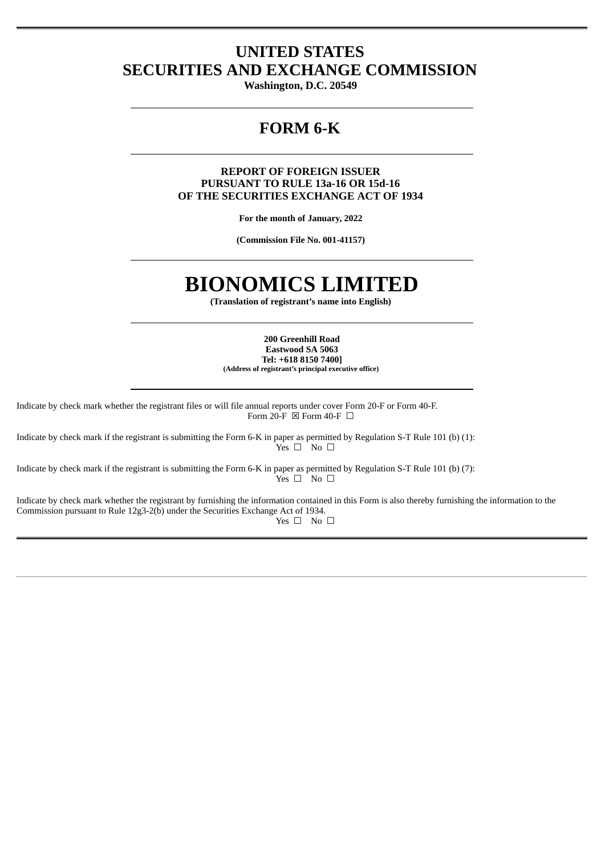# **UNITED STATES SECURITIES AND EXCHANGE COMMISSION**

**Washington, D.C. 20549**

# **FORM 6-K**

# **REPORT OF FOREIGN ISSUER PURSUANT TO RULE 13a-16 OR 15d-16 OF THE SECURITIES EXCHANGE ACT OF 1934**

**For the month of January, 2022**

**(Commission File No. 001-41157)**

# **BIONOMICS LIMITED**

**(Translation of registrant's name into English)**

**200 Greenhill Road Eastwood SA 5063 Tel: +618 8150 7400] (Address of registrant's principal executive office)**

Indicate by check mark whether the registrant files or will file annual reports under cover Form 20-F or Form 40-F. Form 20-F  $\boxtimes$  Form 40-F  $\Box$ 

Indicate by check mark if the registrant is submitting the Form 6-K in paper as permitted by Regulation S-T Rule 101 (b) (1):  $Yes \Box$  No  $\Box$ 

Indicate by check mark if the registrant is submitting the Form 6-K in paper as permitted by Regulation S-T Rule 101 (b) (7):  $Y$ es  $\square$  No  $\square$ 

Indicate by check mark whether the registrant by furnishing the information contained in this Form is also thereby furnishing the information to the Commission pursuant to Rule 12g3-2(b) under the Securities Exchange Act of 1934. Yes □ No □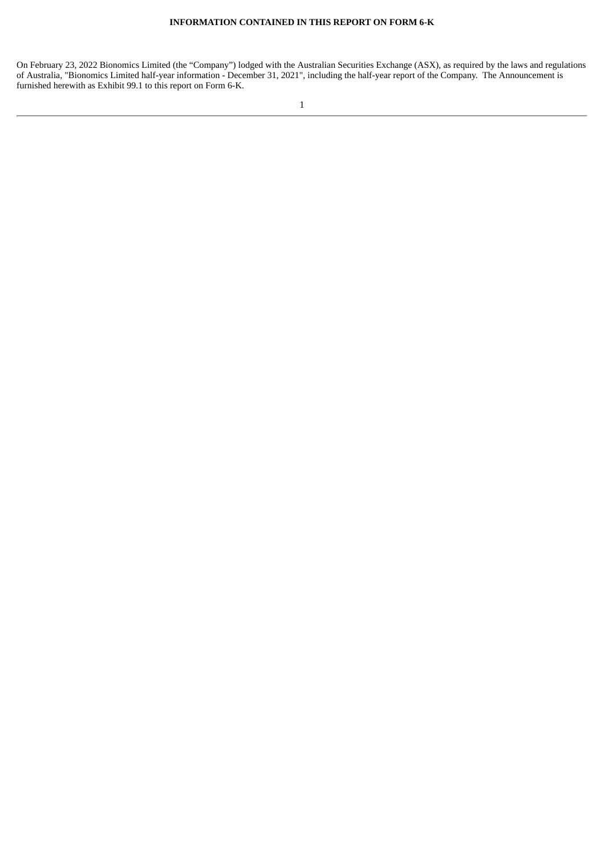On February 23, 2022 Bionomics Limited (the "Company") lodged with the Australian Securities Exchange (ASX), as required by the laws and regulations of Australia, "Bionomics Limited half-year information - December 31, 2021", including the half-year report of the Company. The Announcement is furnished herewith as Exhibit 99.1 to this report on Form 6-K.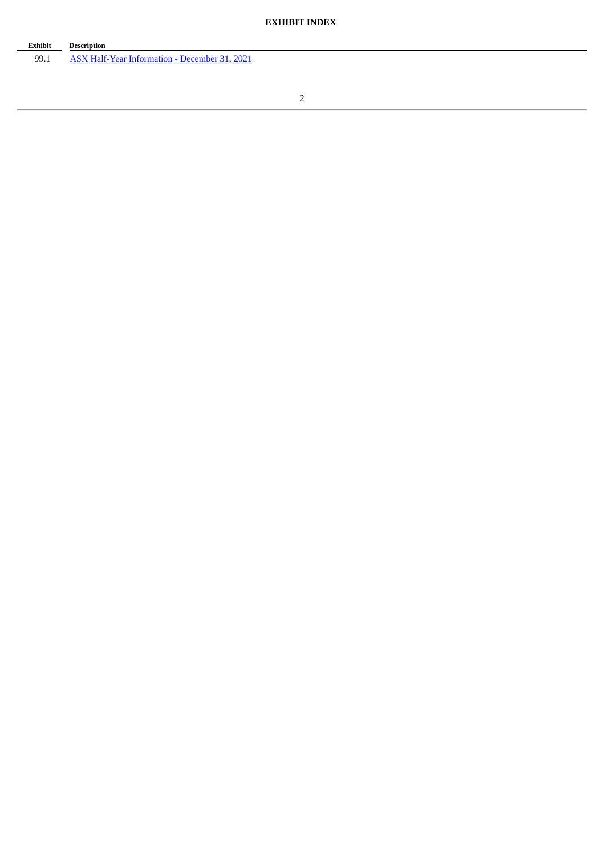| Exhibit | <b>Description</b>                            |
|---------|-----------------------------------------------|
| 99.1    | ASX Half-Year Information - December 31, 2021 |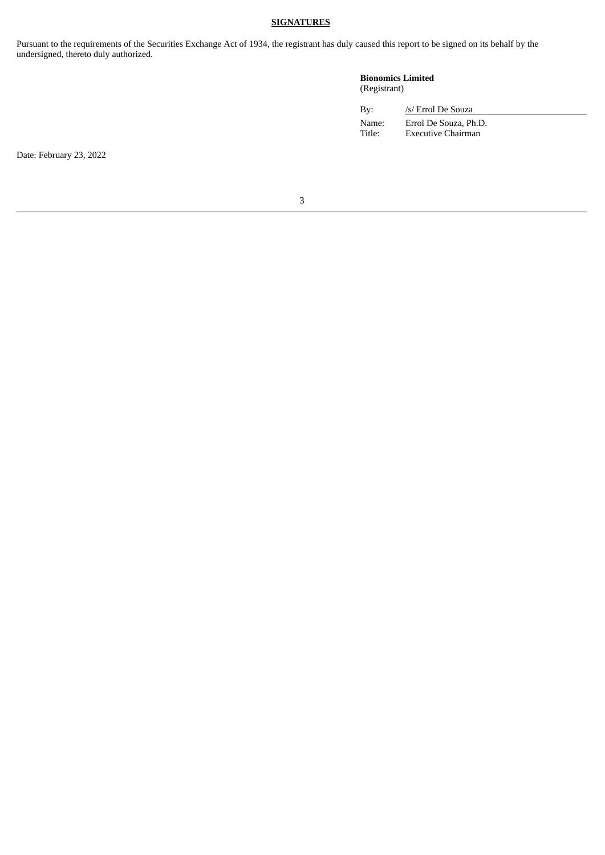## **SIGNATURES**

Pursuant to the requirements of the Securities Exchange Act of 1934, the registrant has duly caused this report to be signed on its behalf by the undersigned, thereto duly authorized.

## **Bionomics Limited** (Registrant)

| By:    | /s/ Errol De Souza    |
|--------|-----------------------|
| Name:  | Errol De Souza, Ph.D. |
| Title: | Executive Chairman    |

Date: February 23, 2022

3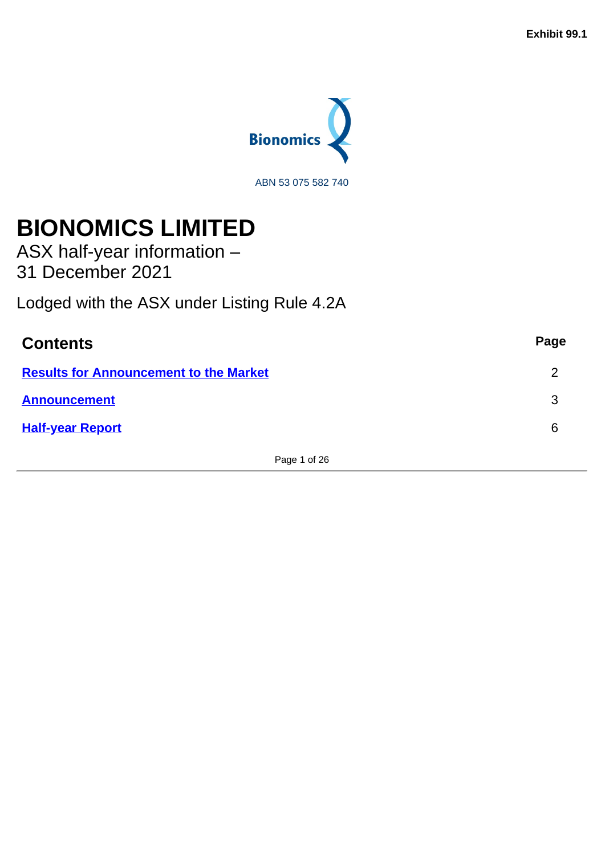

# <span id="page-4-0"></span>**BIONOMICS LIMITED**

ASX half-year information – 31 December 2021

Lodged with the ASX under Listing Rule 4.2A

| <b>Contents</b>                               | Page |
|-----------------------------------------------|------|
| <b>Results for Announcement to the Market</b> | າ    |
| <b>Announcement</b>                           | 3    |
| <b>Half-year Report</b>                       | 6    |

Page 1 of 26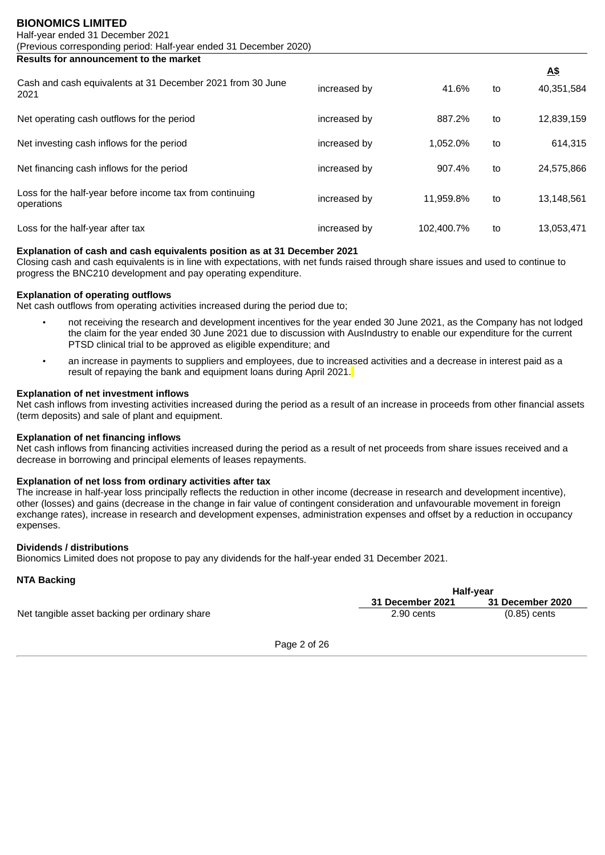<span id="page-5-0"></span>**Results for announcement to the market**

|                                                                        |              |            |    | <u>A\$</u> |
|------------------------------------------------------------------------|--------------|------------|----|------------|
| Cash and cash equivalents at 31 December 2021 from 30 June<br>2021     | increased by | 41.6%      | to | 40,351,584 |
| Net operating cash outflows for the period                             | increased by | 887.2%     | to | 12,839,159 |
| Net investing cash inflows for the period                              | increased by | 1.052.0%   | to | 614.315    |
| Net financing cash inflows for the period                              | increased by | 907.4%     | to | 24.575.866 |
| Loss for the half-year before income tax from continuing<br>operations | increased by | 11.959.8%  | to | 13.148.561 |
| Loss for the half-year after tax                                       | increased by | 102.400.7% | to | 13.053.471 |

# **Explanation of cash and cash equivalents position as at 31 December 2021**

Closing cash and cash equivalents is in line with expectations, with net funds raised through share issues and used to continue to progress the BNC210 development and pay operating expenditure.

## **Explanation of operating outflows**

Net cash outflows from operating activities increased during the period due to;

- not receiving the research and development incentives for the year ended 30 June 2021, as the Company has not lodged the claim for the year ended 30 June 2021 due to discussion with AusIndustry to enable our expenditure for the current PTSD clinical trial to be approved as eligible expenditure; and
- an increase in payments to suppliers and employees, due to increased activities and a decrease in interest paid as a result of repaying the bank and equipment loans during April 2021.

# **Explanation of net investment inflows**

Net cash inflows from investing activities increased during the period as a result of an increase in proceeds from other financial assets (term deposits) and sale of plant and equipment.

#### **Explanation of net financing inflows**

Net cash inflows from financing activities increased during the period as a result of net proceeds from share issues received and a decrease in borrowing and principal elements of leases repayments.

# **Explanation of net loss from ordinary activities after tax**

The increase in half-year loss principally reflects the reduction in other income (decrease in research and development incentive), other (losses) and gains (decrease in the change in fair value of contingent consideration and unfavourable movement in foreign exchange rates), increase in research and development expenses, administration expenses and offset by a reduction in occupancy expenses.

#### **Dividends / distributions**

Bionomics Limited does not propose to pay any dividends for the half-year ended 31 December 2021.

# **NTA Backing**

|                                               | Half-year               |                         |  |
|-----------------------------------------------|-------------------------|-------------------------|--|
|                                               | <b>31 December 2021</b> | <b>31 December 2020</b> |  |
| Net tangible asset backing per ordinary share | 2.90 cents              | $(0.85)$ cents          |  |

Page 2 of 26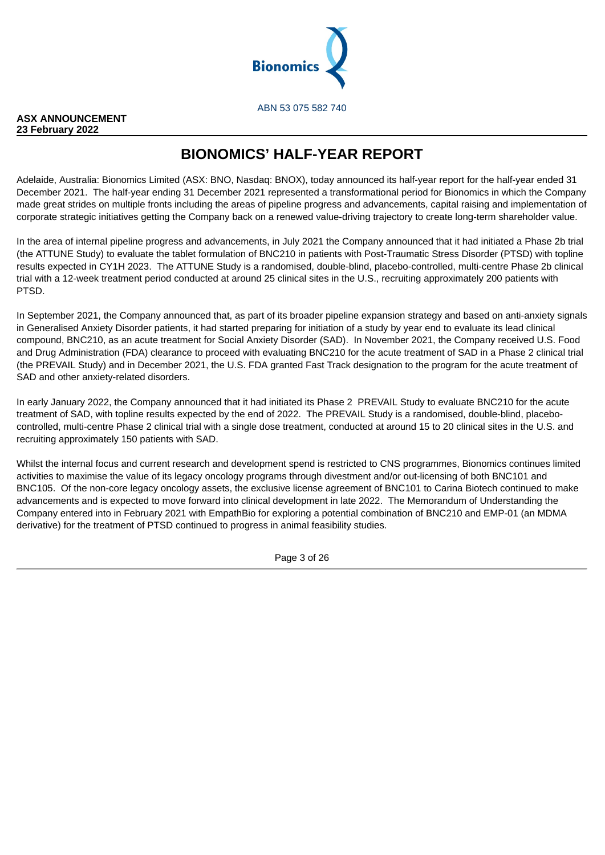

<span id="page-6-0"></span>**ASX ANNOUNCEMENT 23 February 2022**

# **BIONOMICS' HALF-YEAR REPORT**

Adelaide, Australia: Bionomics Limited (ASX: BNO, Nasdaq: BNOX), today announced its half-year report for the half-year ended 31 December 2021. The half-year ending 31 December 2021 represented a transformational period for Bionomics in which the Company made great strides on multiple fronts including the areas of pipeline progress and advancements, capital raising and implementation of corporate strategic initiatives getting the Company back on a renewed value-driving trajectory to create long-term shareholder value.

In the area of internal pipeline progress and advancements, in July 2021 the Company announced that it had initiated a Phase 2b trial (the ATTUNE Study) to evaluate the tablet formulation of BNC210 in patients with Post-Traumatic Stress Disorder (PTSD) with topline results expected in CY1H 2023. The ATTUNE Study is a randomised, double-blind, placebo-controlled, multi-centre Phase 2b clinical trial with a 12-week treatment period conducted at around 25 clinical sites in the U.S., recruiting approximately 200 patients with PTSD.

In September 2021, the Company announced that, as part of its broader pipeline expansion strategy and based on anti-anxiety signals in Generalised Anxiety Disorder patients, it had started preparing for initiation of a study by year end to evaluate its lead clinical compound, BNC210, as an acute treatment for Social Anxiety Disorder (SAD). In November 2021, the Company received U.S. Food and Drug Administration (FDA) clearance to proceed with evaluating BNC210 for the acute treatment of SAD in a Phase 2 clinical trial (the PREVAIL Study) and in December 2021, the U.S. FDA granted Fast Track designation to the program for the acute treatment of SAD and other anxiety-related disorders.

In early January 2022, the Company announced that it had initiated its Phase 2 PREVAIL Study to evaluate BNC210 for the acute treatment of SAD, with topline results expected by the end of 2022. The PREVAIL Study is a randomised, double-blind, placebocontrolled, multi-centre Phase 2 clinical trial with a single dose treatment, conducted at around 15 to 20 clinical sites in the U.S. and recruiting approximately 150 patients with SAD.

Whilst the internal focus and current research and development spend is restricted to CNS programmes, Bionomics continues limited activities to maximise the value of its legacy oncology programs through divestment and/or out-licensing of both BNC101 and BNC105. Of the non-core legacy oncology assets, the exclusive license agreement of BNC101 to Carina Biotech continued to make advancements and is expected to move forward into clinical development in late 2022. The Memorandum of Understanding the Company entered into in February 2021 with EmpathBio for exploring a potential combination of BNC210 and EMP-01 (an MDMA derivative) for the treatment of PTSD continued to progress in animal feasibility studies.

Page 3 of 26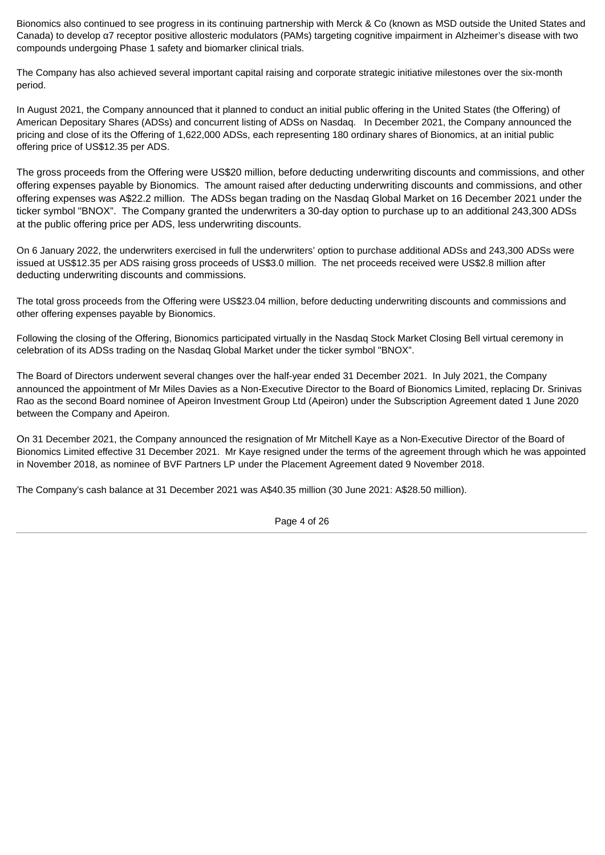Bionomics also continued to see progress in its continuing partnership with Merck & Co (known as MSD outside the United States and Canada) to develop α7 receptor positive allosteric modulators (PAMs) targeting cognitive impairment in Alzheimer's disease with two compounds undergoing Phase 1 safety and biomarker clinical trials.

The Company has also achieved several important capital raising and corporate strategic initiative milestones over the six-month period.

In August 2021, the Company announced that it planned to conduct an initial public offering in the United States (the Offering) of American Depositary Shares (ADSs) and concurrent listing of ADSs on Nasdaq. In December 2021, the Company announced the pricing and close of its the Offering of 1,622,000 ADSs, each representing 180 ordinary shares of Bionomics, at an initial public offering price of US\$12.35 per ADS.

The gross proceeds from the Offering were US\$20 million, before deducting underwriting discounts and commissions, and other offering expenses payable by Bionomics. The amount raised after deducting underwriting discounts and commissions, and other offering expenses was A\$22.2 million. The ADSs began trading on the Nasdaq Global Market on 16 December 2021 under the ticker symbol "BNOX". The Company granted the underwriters a 30-day option to purchase up to an additional 243,300 ADSs at the public offering price per ADS, less underwriting discounts.

On 6 January 2022, the underwriters exercised in full the underwriters' option to purchase additional ADSs and 243,300 ADSs were issued at US\$12.35 per ADS raising gross proceeds of US\$3.0 million. The net proceeds received were US\$2.8 million after deducting underwriting discounts and commissions.

The total gross proceeds from the Offering were US\$23.04 million, before deducting underwriting discounts and commissions and other offering expenses payable by Bionomics.

Following the closing of the Offering, Bionomics participated virtually in the Nasdaq Stock Market Closing Bell virtual ceremony in celebration of its ADSs trading on the Nasdaq Global Market under the ticker symbol "BNOX".

The Board of Directors underwent several changes over the half-year ended 31 December 2021. In July 2021, the Company announced the appointment of Mr Miles Davies as a Non-Executive Director to the Board of Bionomics Limited, replacing Dr. Srinivas Rao as the second Board nominee of Apeiron Investment Group Ltd (Apeiron) under the Subscription Agreement dated 1 June 2020 between the Company and Apeiron.

On 31 December 2021, the Company announced the resignation of Mr Mitchell Kaye as a Non-Executive Director of the Board of Bionomics Limited effective 31 December 2021. Mr Kaye resigned under the terms of the agreement through which he was appointed in November 2018, as nominee of BVF Partners LP under the Placement Agreement dated 9 November 2018.

The Company's cash balance at 31 December 2021 was A\$40.35 million (30 June 2021: A\$28.50 million).

Page 4 of 26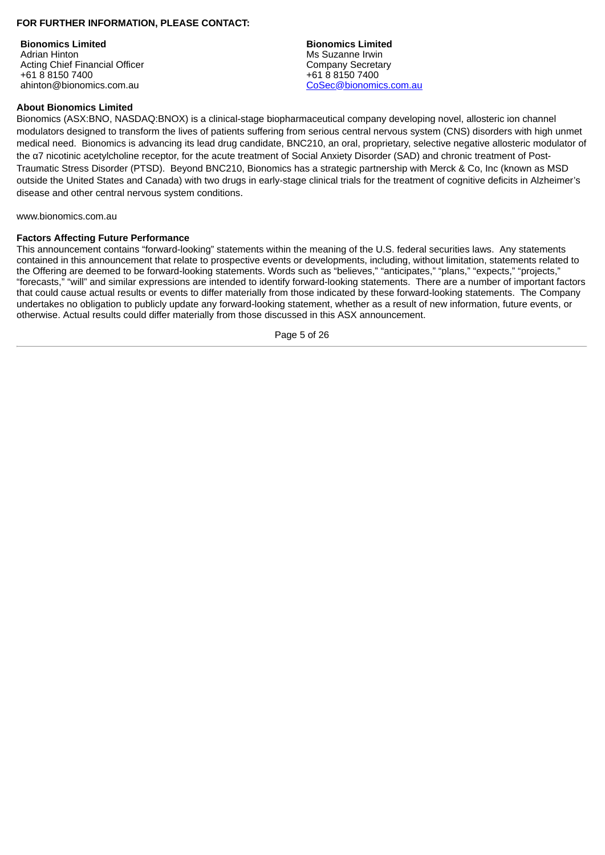# **FOR FURTHER INFORMATION, PLEASE CONTACT:**

**Bionomics Limited Bionomics Limited** Adrian Hinton **Ms Suzanne Irwin** Acting Chief Financial Officer<br>
+61 8 8150 7400<br>
+61 8 8150 7400 ahinton@bionomics.com.au

 $+61881507400$ <br>CoSec@bionomics.com.au

#### **About Bionomics Limited**

Bionomics (ASX:BNO, NASDAQ:BNOX) is a clinical-stage biopharmaceutical company developing novel, allosteric ion channel modulators designed to transform the lives of patients suffering from serious central nervous system (CNS) disorders with high unmet medical need. Bionomics is advancing its lead drug candidate, BNC210, an oral, proprietary, selective negative allosteric modulator of the α7 nicotinic acetylcholine receptor, for the acute treatment of Social Anxiety Disorder (SAD) and chronic treatment of Post-Traumatic Stress Disorder (PTSD). Beyond BNC210, Bionomics has a strategic partnership with Merck & Co, Inc (known as MSD outside the United States and Canada) with two drugs in early-stage clinical trials for the treatment of cognitive deficits in Alzheimer's disease and other central nervous system conditions.

www.bionomics.com.au

#### **Factors Affecting Future Performance**

This announcement contains "forward-looking" statements within the meaning of the U.S. federal securities laws. Any statements contained in this announcement that relate to prospective events or developments, including, without limitation, statements related to the Offering are deemed to be forward-looking statements. Words such as "believes," "anticipates," "plans," "expects," "projects," "forecasts," "will" and similar expressions are intended to identify forward-looking statements. There are a number of important factors that could cause actual results or events to differ materially from those indicated by these forward-looking statements. The Company undertakes no obligation to publicly update any forward-looking statement, whether as a result of new information, future events, or otherwise. Actual results could differ materially from those discussed in this ASX announcement.

Page 5 of 26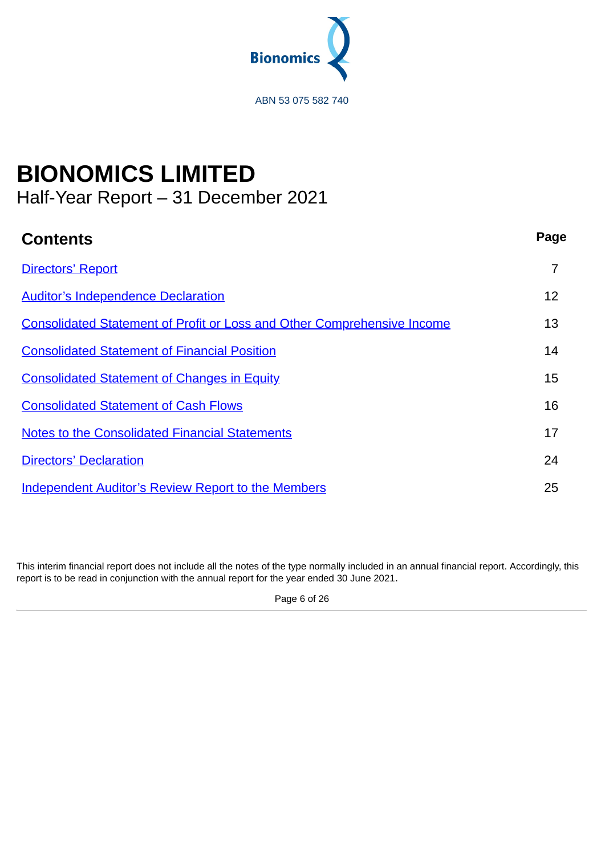

# **BIONOMICS LIMITED**

<span id="page-9-0"></span>Half-Year Report – 31 December 2021

| <b>Contents</b>                                                                | Page |
|--------------------------------------------------------------------------------|------|
| <b>Directors' Report</b>                                                       | 7    |
| <b>Auditor's Independence Declaration</b>                                      | 12   |
| <b>Consolidated Statement of Profit or Loss and Other Comprehensive Income</b> | 13   |
| <b>Consolidated Statement of Financial Position</b>                            | 14   |
| <b>Consolidated Statement of Changes in Equity</b>                             | 15   |
| <b>Consolidated Statement of Cash Flows</b>                                    | 16   |
| <b>Notes to the Consolidated Financial Statements</b>                          | 17   |
| <b>Directors' Declaration</b>                                                  | 24   |
| <b>Independent Auditor's Review Report to the Members</b>                      | 25   |

This interim financial report does not include all the notes of the type normally included in an annual financial report. Accordingly, this report is to be read in conjunction with the annual report for the year ended 30 June 2021.

Page 6 of 26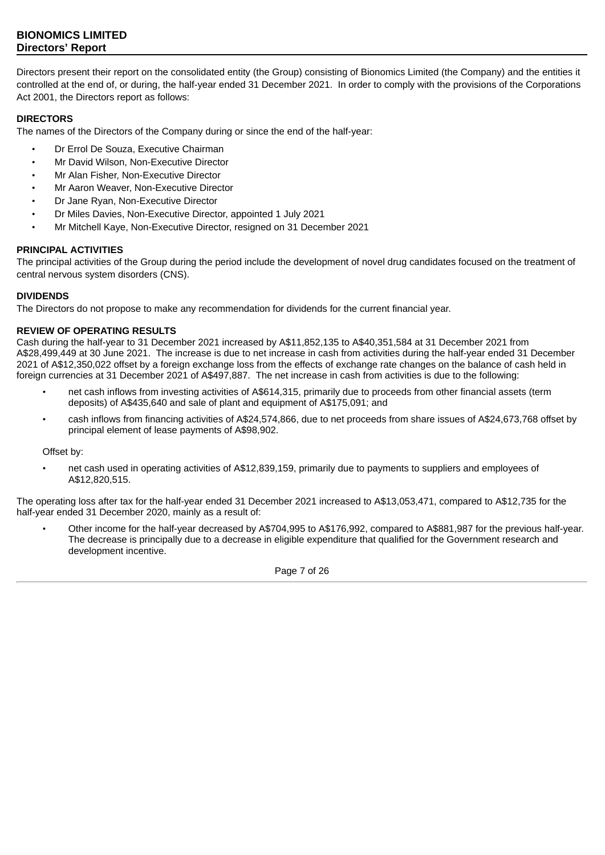<span id="page-10-0"></span>Directors present their report on the consolidated entity (the Group) consisting of Bionomics Limited (the Company) and the entities it controlled at the end of, or during, the half-year ended 31 December 2021. In order to comply with the provisions of the Corporations Act 2001, the Directors report as follows:

# **DIRECTORS**

The names of the Directors of the Company during or since the end of the half-year:

- Dr Errol De Souza, Executive Chairman
- Mr David Wilson, Non-Executive Director
- Mr Alan Fisher, Non-Executive Director
- Mr Aaron Weaver, Non-Executive Director
- Dr Jane Ryan, Non-Executive Director
- Dr Miles Davies, Non-Executive Director, appointed 1 July 2021
- Mr Mitchell Kaye, Non-Executive Director, resigned on 31 December 2021

# **PRINCIPAL ACTIVITIES**

The principal activities of the Group during the period include the development of novel drug candidates focused on the treatment of central nervous system disorders (CNS).

# **DIVIDENDS**

The Directors do not propose to make any recommendation for dividends for the current financial year.

# **REVIEW OF OPERATING RESULTS**

Cash during the half-year to 31 December 2021 increased by A\$11,852,135 to A\$40,351,584 at 31 December 2021 from A\$28,499,449 at 30 June 2021. The increase is due to net increase in cash from activities during the half-year ended 31 December 2021 of A\$12,350,022 offset by a foreign exchange loss from the effects of exchange rate changes on the balance of cash held in foreign currencies at 31 December 2021 of A\$497,887. The net increase in cash from activities is due to the following:

- net cash inflows from investing activities of A\$614,315, primarily due to proceeds from other financial assets (term deposits) of A\$435,640 and sale of plant and equipment of A\$175,091; and
- cash inflows from financing activities of A\$24,574,866, due to net proceeds from share issues of A\$24,673,768 offset by principal element of lease payments of A\$98,902.

Offset by:

• net cash used in operating activities of A\$12,839,159, primarily due to payments to suppliers and employees of A\$12,820,515.

The operating loss after tax for the half-year ended 31 December 2021 increased to A\$13,053,471, compared to A\$12,735 for the half-year ended 31 December 2020, mainly as a result of:

• Other income for the half-year decreased by A\$704,995 to A\$176,992, compared to A\$881,987 for the previous half-year. The decrease is principally due to a decrease in eligible expenditure that qualified for the Government research and development incentive.

Page 7 of 26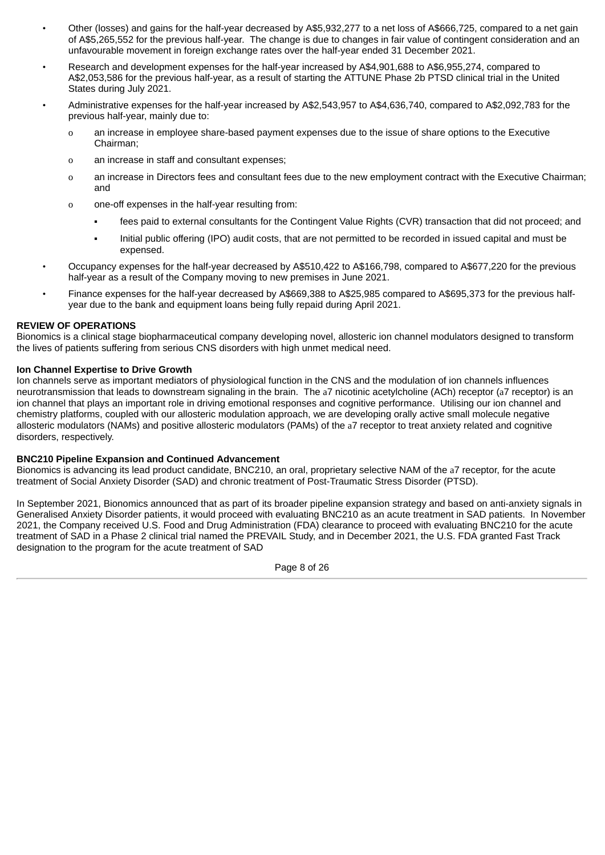- Other (losses) and gains for the half-year decreased by A\$5,932,277 to a net loss of A\$666,725, compared to a net gain of A\$5,265,552 for the previous half-year. The change is due to changes in fair value of contingent consideration and an unfavourable movement in foreign exchange rates over the half-year ended 31 December 2021.
- Research and development expenses for the half-year increased by A\$4,901,688 to A\$6,955,274, compared to A\$2,053,586 for the previous half-year, as a result of starting the ATTUNE Phase 2b PTSD clinical trial in the United States during July 2021.
- Administrative expenses for the half-year increased by A\$2,543,957 to A\$4,636,740, compared to A\$2,092,783 for the previous half-year, mainly due to:
	- o an increase in employee share-based payment expenses due to the issue of share options to the Executive Chairman;
	- o an increase in staff and consultant expenses;
	- o an increase in Directors fees and consultant fees due to the new employment contract with the Executive Chairman; and
	- o one-off expenses in the half-year resulting from:
		- fees paid to external consultants for the Contingent Value Rights (CVR) transaction that did not proceed; and
		- Initial public offering (IPO) audit costs, that are not permitted to be recorded in issued capital and must be expensed.
- Occupancy expenses for the half-year decreased by A\$510,422 to A\$166,798, compared to A\$677,220 for the previous half-year as a result of the Company moving to new premises in June 2021.
- Finance expenses for the half-year decreased by A\$669,388 to A\$25,985 compared to A\$695,373 for the previous halfyear due to the bank and equipment loans being fully repaid during April 2021.

# **REVIEW OF OPERATIONS**

Bionomics is a clinical stage biopharmaceutical company developing novel, allosteric ion channel modulators designed to transform the lives of patients suffering from serious CNS disorders with high unmet medical need.

# **Ion Channel Expertise to Drive Growth**

Ion channels serve as important mediators of physiological function in the CNS and the modulation of ion channels influences neurotransmission that leads to downstream signaling in the brain. The a7 nicotinic acetylcholine (ACh) receptor (a7 receptor) is an ion channel that plays an important role in driving emotional responses and cognitive performance. Utilising our ion channel and chemistry platforms, coupled with our allosteric modulation approach, we are developing orally active small molecule negative allosteric modulators (NAMs) and positive allosteric modulators (PAMs) of the a7 receptor to treat anxiety related and cognitive disorders, respectively.

# **BNC210 Pipeline Expansion and Continued Advancement**

Bionomics is advancing its lead product candidate, BNC210, an oral, proprietary selective NAM of the a7 receptor, for the acute treatment of Social Anxiety Disorder (SAD) and chronic treatment of Post-Traumatic Stress Disorder (PTSD).

In September 2021, Bionomics announced that as part of its broader pipeline expansion strategy and based on anti-anxiety signals in Generalised Anxiety Disorder patients, it would proceed with evaluating BNC210 as an acute treatment in SAD patients. In November 2021, the Company received U.S. Food and Drug Administration (FDA) clearance to proceed with evaluating BNC210 for the acute treatment of SAD in a Phase 2 clinical trial named the PREVAIL Study, and in December 2021, the U.S. FDA granted Fast Track designation to the program for the acute treatment of SAD

Page 8 of 26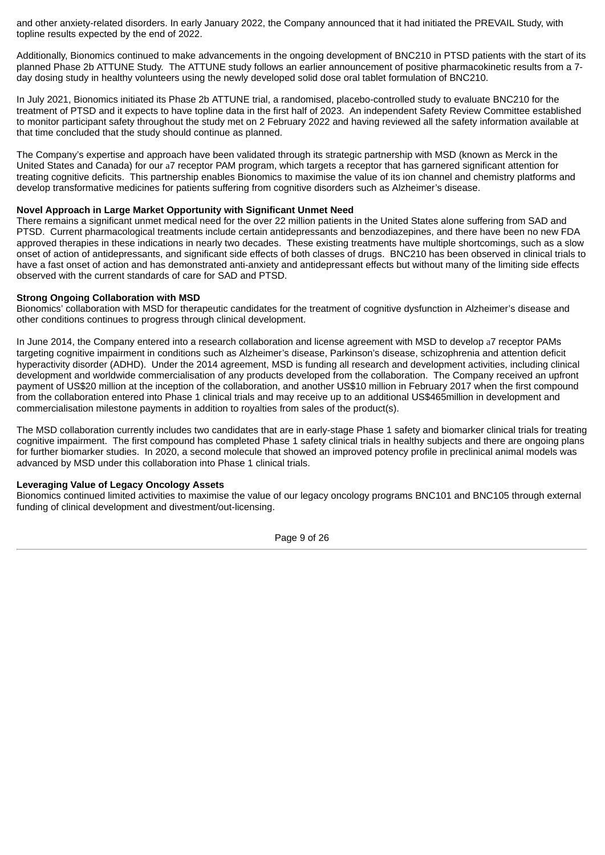and other anxiety-related disorders. In early January 2022, the Company announced that it had initiated the PREVAIL Study, with topline results expected by the end of 2022.

Additionally, Bionomics continued to make advancements in the ongoing development of BNC210 in PTSD patients with the start of its planned Phase 2b ATTUNE Study. The ATTUNE study follows an earlier announcement of positive pharmacokinetic results from a 7 day dosing study in healthy volunteers using the newly developed solid dose oral tablet formulation of BNC210.

In July 2021, Bionomics initiated its Phase 2b ATTUNE trial, a randomised, placebo-controlled study to evaluate BNC210 for the treatment of PTSD and it expects to have topline data in the first half of 2023. An independent Safety Review Committee established to monitor participant safety throughout the study met on 2 February 2022 and having reviewed all the safety information available at that time concluded that the study should continue as planned.

The Company's expertise and approach have been validated through its strategic partnership with MSD (known as Merck in the United States and Canada) for our a7 receptor PAM program, which targets a receptor that has garnered significant attention for treating cognitive deficits. This partnership enables Bionomics to maximise the value of its ion channel and chemistry platforms and develop transformative medicines for patients suffering from cognitive disorders such as Alzheimer's disease.

#### **Novel Approach in Large Market Opportunity with Significant Unmet Need**

There remains a significant unmet medical need for the over 22 million patients in the United States alone suffering from SAD and PTSD. Current pharmacological treatments include certain antidepressants and benzodiazepines, and there have been no new FDA approved therapies in these indications in nearly two decades. These existing treatments have multiple shortcomings, such as a slow onset of action of antidepressants, and significant side effects of both classes of drugs. BNC210 has been observed in clinical trials to have a fast onset of action and has demonstrated anti-anxiety and antidepressant effects but without many of the limiting side effects observed with the current standards of care for SAD and PTSD.

#### **Strong Ongoing Collaboration with MSD**

Bionomics' collaboration with MSD for therapeutic candidates for the treatment of cognitive dysfunction in Alzheimer's disease and other conditions continues to progress through clinical development.

In June 2014, the Company entered into a research collaboration and license agreement with MSD to develop a7 receptor PAMs targeting cognitive impairment in conditions such as Alzheimer's disease, Parkinson's disease, schizophrenia and attention deficit hyperactivity disorder (ADHD). Under the 2014 agreement, MSD is funding all research and development activities, including clinical development and worldwide commercialisation of any products developed from the collaboration. The Company received an upfront payment of US\$20 million at the inception of the collaboration, and another US\$10 million in February 2017 when the first compound from the collaboration entered into Phase 1 clinical trials and may receive up to an additional US\$465million in development and commercialisation milestone payments in addition to royalties from sales of the product(s).

The MSD collaboration currently includes two candidates that are in early-stage Phase 1 safety and biomarker clinical trials for treating cognitive impairment. The first compound has completed Phase 1 safety clinical trials in healthy subjects and there are ongoing plans for further biomarker studies. In 2020, a second molecule that showed an improved potency profile in preclinical animal models was advanced by MSD under this collaboration into Phase 1 clinical trials.

# **Leveraging Value of Legacy Oncology Assets**

Bionomics continued limited activities to maximise the value of our legacy oncology programs BNC101 and BNC105 through external funding of clinical development and divestment/out-licensing.

Page 9 of 26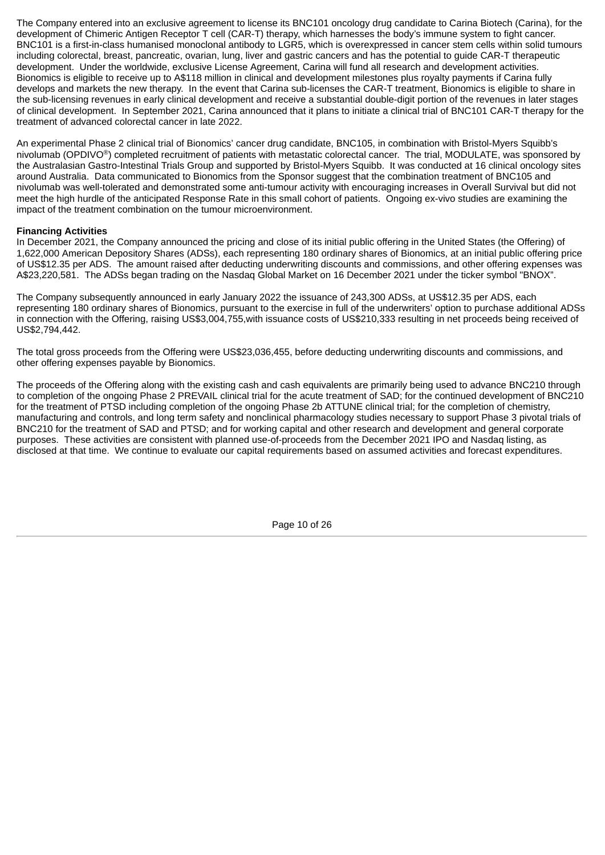The Company entered into an exclusive agreement to license its BNC101 oncology drug candidate to Carina Biotech (Carina), for the development of Chimeric Antigen Receptor T cell (CAR-T) therapy, which harnesses the body's immune system to fight cancer. BNC101 is a first-in-class humanised monoclonal antibody to LGR5, which is overexpressed in cancer stem cells within solid tumours including colorectal, breast, pancreatic, ovarian, lung, liver and gastric cancers and has the potential to guide CAR-T therapeutic development. Under the worldwide, exclusive License Agreement, Carina will fund all research and development activities. Bionomics is eligible to receive up to A\$118 million in clinical and development milestones plus royalty payments if Carina fully develops and markets the new therapy. In the event that Carina sub-licenses the CAR-T treatment, Bionomics is eligible to share in the sub-licensing revenues in early clinical development and receive a substantial double-digit portion of the revenues in later stages of clinical development. In September 2021, Carina announced that it plans to initiate a clinical trial of BNC101 CAR-T therapy for the treatment of advanced colorectal cancer in late 2022.

An experimental Phase 2 clinical trial of Bionomics' cancer drug candidate, BNC105, in combination with Bristol-Myers Squibb's nivolumab (OPDIVO®) completed recruitment of patients with metastatic colorectal cancer. The trial, MODULATE, was sponsored by the Australasian Gastro-Intestinal Trials Group and supported by Bristol-Myers Squibb. It was conducted at 16 clinical oncology sites around Australia. Data communicated to Bionomics from the Sponsor suggest that the combination treatment of BNC105 and nivolumab was well-tolerated and demonstrated some anti-tumour activity with encouraging increases in Overall Survival but did not meet the high hurdle of the anticipated Response Rate in this small cohort of patients. Ongoing ex-vivo studies are examining the impact of the treatment combination on the tumour microenvironment.

# **Financing Activities**

In December 2021, the Company announced the pricing and close of its initial public offering in the United States (the Offering) of 1,622,000 American Depository Shares (ADSs), each representing 180 ordinary shares of Bionomics, at an initial public offering price of US\$12.35 per ADS. The amount raised after deducting underwriting discounts and commissions, and other offering expenses was A\$23,220,581. The ADSs began trading on the Nasdaq Global Market on 16 December 2021 under the ticker symbol "BNOX".

The Company subsequently announced in early January 2022 the issuance of 243,300 ADSs, at US\$12.35 per ADS, each representing 180 ordinary shares of Bionomics, pursuant to the exercise in full of the underwriters' option to purchase additional ADSs in connection with the Offering, raising US\$3,004,755,with issuance costs of US\$210,333 resulting in net proceeds being received of US\$2,794,442.

The total gross proceeds from the Offering were US\$23,036,455, before deducting underwriting discounts and commissions, and other offering expenses payable by Bionomics.

The proceeds of the Offering along with the existing cash and cash equivalents are primarily being used to advance BNC210 through to completion of the ongoing Phase 2 PREVAIL clinical trial for the acute treatment of SAD; for the continued development of BNC210 for the treatment of PTSD including completion of the ongoing Phase 2b ATTUNE clinical trial; for the completion of chemistry, manufacturing and controls, and long term safety and nonclinical pharmacology studies necessary to support Phase 3 pivotal trials of BNC210 for the treatment of SAD and PTSD; and for working capital and other research and development and general corporate purposes. These activities are consistent with planned use-of-proceeds from the December 2021 IPO and Nasdaq listing, as disclosed at that time. We continue to evaluate our capital requirements based on assumed activities and forecast expenditures.

Page 10 of 26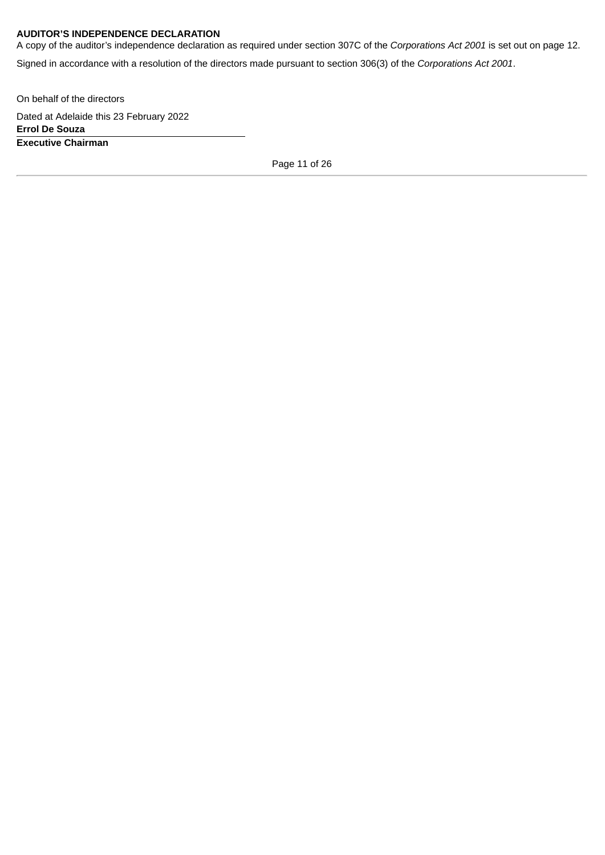# **AUDITOR'S INDEPENDENCE DECLARATION**

A copy of the auditor's independence declaration as required under section 307C of the *Corporations Act 2001* is set out on page 12.

Signed in accordance with a resolution of the directors made pursuant to section 306(3) of the *Corporations Act 2001*.

On behalf of the directors

Dated at Adelaide this 23 February 2022 **Errol De Souza Executive Chairman**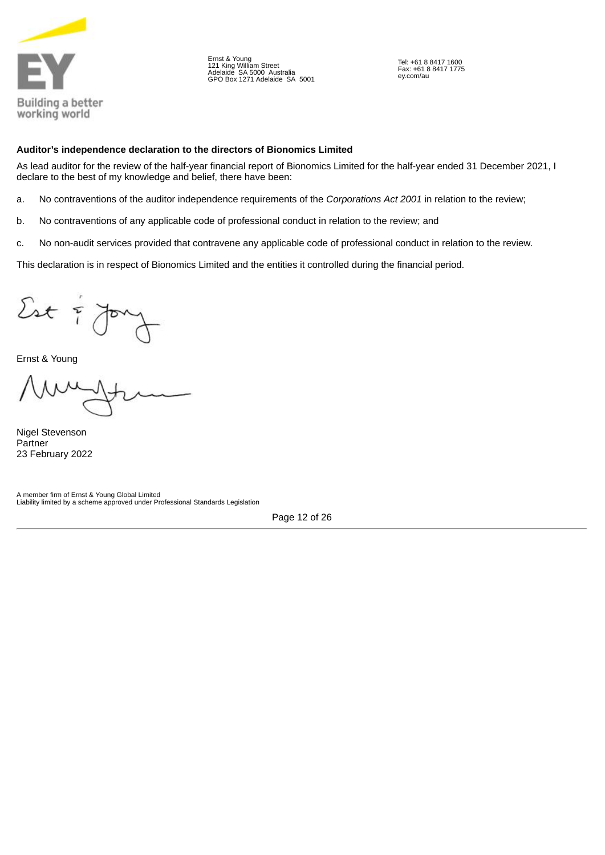

Ernst & Young 121 King William Street Adelaide SA 5000 Australia GPO Box 1271 Adelaide SA 5001

Tel: +61 8 8417 1600 Fax: +61 8 8417 1775 ey.com/au

# <span id="page-15-0"></span>**Auditor's independence declaration to the directors of Bionomics Limited**

As lead auditor for the review of the half-year financial report of Bionomics Limited for the half-year ended 31 December 2021, I declare to the best of my knowledge and belief, there have been:

- a. No contraventions of the auditor independence requirements of the *Corporations Act 2001* in relation to the review;
- b. No contraventions of any applicable code of professional conduct in relation to the review; and
- c. No non-audit services provided that contravene any applicable code of professional conduct in relation to the review.

This declaration is in respect of Bionomics Limited and the entities it controlled during the financial period.

 $2st$ 

Ernst & Young

Nigel Stevenson Partner 23 February 2022

A member firm of Ernst & Young Global Limited Liability limited by a scheme approved under Professional Standards Legislation

Page 12 of 26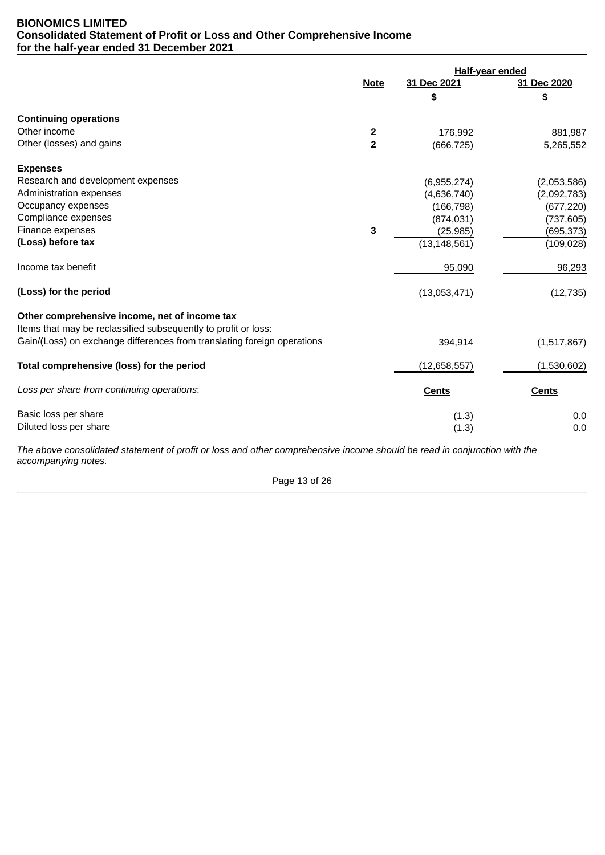# <span id="page-16-0"></span>**BIONOMICS LIMITED Consolidated Statement of Profit or Loss and Other Comprehensive Income for the half-year ended 31 December 2021**

|                                                                         | <b>Half-year ended</b>  |                |              |
|-------------------------------------------------------------------------|-------------------------|----------------|--------------|
|                                                                         | <b>Note</b>             | 31 Dec 2021    | 31 Dec 2020  |
|                                                                         |                         | \$             | $\pmb{\$}$   |
| <b>Continuing operations</b>                                            |                         |                |              |
| Other income                                                            | $\overline{\mathbf{c}}$ | 176,992        | 881,987      |
| Other (losses) and gains                                                | $\overline{2}$          | (666, 725)     | 5,265,552    |
| <b>Expenses</b>                                                         |                         |                |              |
| Research and development expenses                                       |                         | (6,955,274)    | (2,053,586)  |
| Administration expenses                                                 |                         | (4,636,740)    | (2,092,783)  |
| Occupancy expenses                                                      |                         | (166, 798)     | (677, 220)   |
| Compliance expenses                                                     |                         | (874, 031)     | (737, 605)   |
| Finance expenses                                                        | 3                       | (25, 985)      | (695, 373)   |
| (Loss) before tax                                                       |                         | (13, 148, 561) | (109, 028)   |
| Income tax benefit                                                      |                         | 95,090         | 96,293       |
| (Loss) for the period                                                   |                         | (13,053,471)   | (12, 735)    |
| Other comprehensive income, net of income tax                           |                         |                |              |
| Items that may be reclassified subsequently to profit or loss:          |                         |                |              |
| Gain/(Loss) on exchange differences from translating foreign operations |                         | 394,914        | (1,517,867)  |
| Total comprehensive (loss) for the period                               |                         | (12,658,557)   | (1,530,602)  |
| Loss per share from continuing operations:                              |                         | <b>Cents</b>   | <b>Cents</b> |
| Basic loss per share                                                    |                         | (1.3)          | 0.0          |
| Diluted loss per share                                                  |                         | (1.3)          | 0.0          |

*The above consolidated statement of profit or loss and other comprehensive income should be read in conjunction with the accompanying notes.*

Page 13 of 26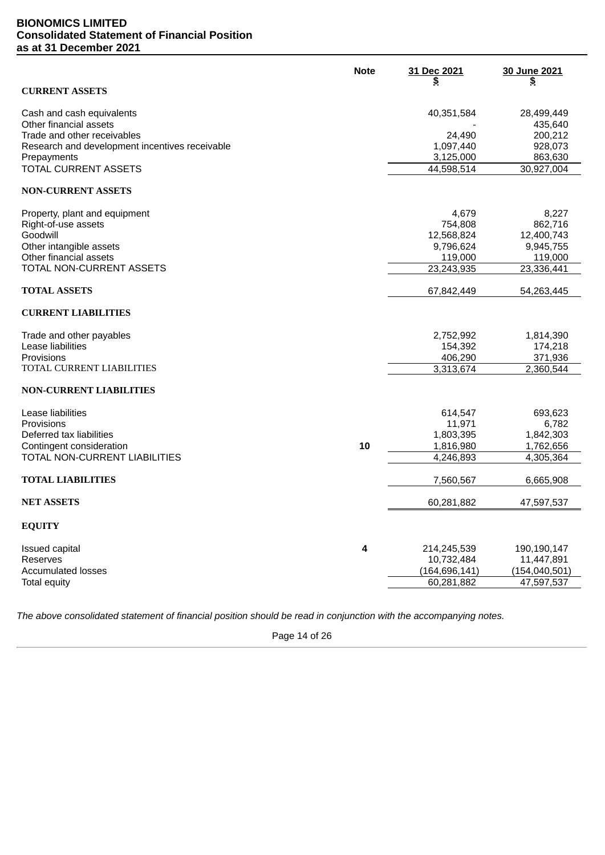# <span id="page-17-0"></span>**BIONOMICS LIMITED Consolidated Statement of Financial Position as at 31 December 2021**

|                                                | <b>Note</b> | 31 Dec 2021            | 30 June 2021    |
|------------------------------------------------|-------------|------------------------|-----------------|
| <b>CURRENT ASSETS</b>                          |             | \$                     | \$              |
| Cash and cash equivalents                      |             | 40,351,584             | 28,499,449      |
| Other financial assets                         |             |                        | 435,640         |
| Trade and other receivables                    |             | 24,490                 | 200,212         |
| Research and development incentives receivable |             | 1,097,440              | 928,073         |
| Prepayments                                    |             | 3,125,000              | 863,630         |
| TOTAL CURRENT ASSETS                           |             | 44,598,514             | 30,927,004      |
| <b>NON-CURRENT ASSETS</b>                      |             |                        |                 |
| Property, plant and equipment                  |             | 4,679                  | 8,227           |
| Right-of-use assets                            |             | 754,808                | 862,716         |
| Goodwill                                       |             | 12,568,824             | 12,400,743      |
| Other intangible assets                        |             | 9,796,624              | 9,945,755       |
| Other financial assets                         |             | 119,000                | 119,000         |
| TOTAL NON-CURRENT ASSETS                       |             | 23,243,935             | 23,336,441      |
| <b>TOTAL ASSETS</b>                            |             | 67,842,449             | 54,263,445      |
| <b>CURRENT LIABILITIES</b>                     |             |                        |                 |
| Trade and other payables                       |             | 2,752,992              | 1,814,390       |
| Lease liabilities                              |             | 154,392                | 174,218         |
| Provisions                                     |             | 406,290                | 371,936         |
| TOTAL CURRENT LIABILITIES                      |             | 3,313,674              | 2,360,544       |
| <b>NON-CURRENT LIABILITIES</b>                 |             |                        |                 |
| Lease liabilities                              |             | 614,547                | 693,623         |
| Provisions                                     |             | 11,971                 | 6,782           |
| Deferred tax liabilities                       |             | 1,803,395              | 1,842,303       |
| Contingent consideration                       | 10          | 1,816,980              | 1,762,656       |
| TOTAL NON-CURRENT LIABILITIES                  |             | $\overline{4,}246,893$ | 4,305,364       |
| <b>TOTAL LIABILITIES</b>                       |             | 7,560,567              | 6,665,908       |
| <b>NET ASSETS</b>                              |             | 60,281,882             | 47,597,537      |
| <b>EQUITY</b>                                  |             |                        |                 |
| Issued capital                                 | 4           | 214,245,539            | 190,190,147     |
| Reserves                                       |             | 10,732,484             | 11,447,891      |
| <b>Accumulated losses</b>                      |             | (164, 696, 141)        | (154, 040, 501) |
| Total equity                                   |             | 60,281,882             | 47,597,537      |
|                                                |             |                        |                 |

*The above consolidated statement of financial position should be read in conjunction with the accompanying notes.*

Page 14 of 26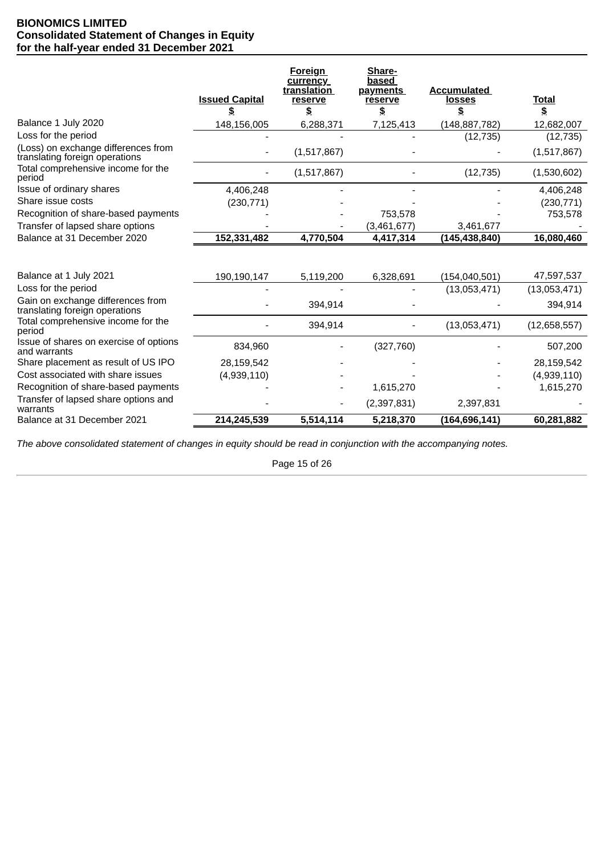# <span id="page-18-0"></span>**BIONOMICS LIMITED Consolidated Statement of Changes in Equity for the half-year ended 31 December 2021**

|                                                                       | <b>Issued Capital</b> | <b>Foreign</b><br>currency<br>translation<br>reserve<br>\$ | Share-<br>based<br><b>payments</b><br>reserve<br>\$ | <b>Accumulated</b><br><b>losses</b><br>\$ | <b>Total</b><br>\$ |
|-----------------------------------------------------------------------|-----------------------|------------------------------------------------------------|-----------------------------------------------------|-------------------------------------------|--------------------|
| Balance 1 July 2020                                                   | 148,156,005           | 6,288,371                                                  | 7,125,413                                           | (148, 887, 782)                           | 12,682,007         |
| Loss for the period                                                   |                       |                                                            |                                                     | (12, 735)                                 | (12, 735)          |
| (Loss) on exchange differences from<br>translating foreign operations |                       | (1,517,867)                                                |                                                     |                                           | (1,517,867)        |
| Total comprehensive income for the<br>period                          |                       | (1,517,867)                                                |                                                     | (12, 735)                                 | (1,530,602)        |
| Issue of ordinary shares                                              | 4,406,248             |                                                            |                                                     |                                           | 4,406,248          |
| Share issue costs                                                     | (230, 771)            |                                                            |                                                     |                                           | (230, 771)         |
| Recognition of share-based payments                                   |                       |                                                            | 753,578                                             |                                           | 753,578            |
| Transfer of lapsed share options                                      |                       |                                                            | (3,461,677)                                         | 3,461,677                                 |                    |
| Balance at 31 December 2020                                           | 152,331,482           | 4,770,504                                                  | 4,417,314                                           | (145,438,840)                             | 16,080,460         |
| Balance at 1 July 2021                                                | 190,190,147           | 5,119,200                                                  | 6,328,691                                           | (154, 040, 501)                           | 47,597,537         |
| Loss for the period                                                   |                       |                                                            |                                                     | (13,053,471)                              | (13,053,471)       |
| Gain on exchange differences from<br>translating foreign operations   |                       | 394,914                                                    |                                                     |                                           | 394,914            |
| Total comprehensive income for the<br>period                          |                       | 394,914                                                    |                                                     | (13,053,471)                              | (12,658,557)       |
| Issue of shares on exercise of options<br>and warrants                | 834,960               |                                                            | (327,760)                                           |                                           | 507,200            |
| Share placement as result of US IPO                                   | 28,159,542            |                                                            |                                                     |                                           | 28,159,542         |
| Cost associated with share issues                                     | (4,939,110)           |                                                            |                                                     |                                           | (4,939,110)        |
| Recognition of share-based payments                                   |                       |                                                            | 1,615,270                                           |                                           | 1,615,270          |
| Transfer of lapsed share options and<br>warrants                      |                       |                                                            | (2, 397, 831)                                       | 2,397,831                                 |                    |
| Balance at 31 December 2021                                           | 214,245,539           | 5,514,114                                                  | 5,218,370                                           | (164, 696, 141)                           | 60,281,882         |

*The above consolidated statement of changes in equity should be read in conjunction with the accompanying notes.*

Page 15 of 26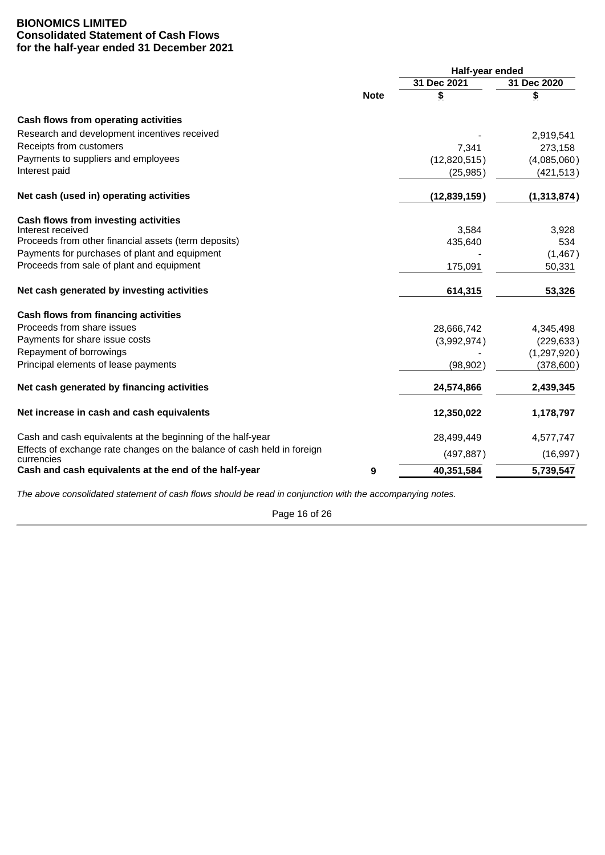# <span id="page-19-0"></span>**BIONOMICS LIMITED Consolidated Statement of Cash Flows for the half-year ended 31 December 2021**

|                                                                                       |             | Half-year ended |             |  |
|---------------------------------------------------------------------------------------|-------------|-----------------|-------------|--|
|                                                                                       |             | 31 Dec 2021     | 31 Dec 2020 |  |
|                                                                                       | <b>Note</b> | \$              | \$          |  |
| Cash flows from operating activities                                                  |             |                 |             |  |
| Research and development incentives received                                          |             |                 | 2,919,541   |  |
| Receipts from customers                                                               |             | 7,341           | 273,158     |  |
| Payments to suppliers and employees                                                   |             | (12,820,515)    | (4,085,060) |  |
| Interest paid                                                                         |             | (25, 985)       | (421, 513)  |  |
| Net cash (used in) operating activities                                               |             | (12, 839, 159)  | (1,313,874) |  |
| Cash flows from investing activities                                                  |             |                 |             |  |
| Interest received                                                                     |             | 3,584           | 3,928       |  |
| Proceeds from other financial assets (term deposits)                                  |             | 435,640         | 534         |  |
| Payments for purchases of plant and equipment                                         |             |                 | (1,467)     |  |
| Proceeds from sale of plant and equipment                                             |             | 175,091         | 50,331      |  |
| Net cash generated by investing activities                                            |             | 614,315         | 53,326      |  |
| Cash flows from financing activities                                                  |             |                 |             |  |
| Proceeds from share issues                                                            |             | 28,666,742      | 4,345,498   |  |
| Payments for share issue costs                                                        |             | (3,992,974)     | (229, 633)  |  |
| Repayment of borrowings                                                               |             |                 | (1,297,920) |  |
| Principal elements of lease payments                                                  |             | (98, 902)       | (378, 600)  |  |
| Net cash generated by financing activities                                            |             | 24,574,866      | 2,439,345   |  |
| Net increase in cash and cash equivalents                                             |             | 12,350,022      | 1,178,797   |  |
| Cash and cash equivalents at the beginning of the half-year                           |             | 28,499,449      | 4,577,747   |  |
| Effects of exchange rate changes on the balance of cash held in foreign<br>currencies |             | (497, 887)      | (16, 997)   |  |
| Cash and cash equivalents at the end of the half-year                                 | 9           | 40,351,584      | 5,739,547   |  |

*The above consolidated statement of cash flows should be read in conjunction with the accompanying notes.*

Page 16 of 26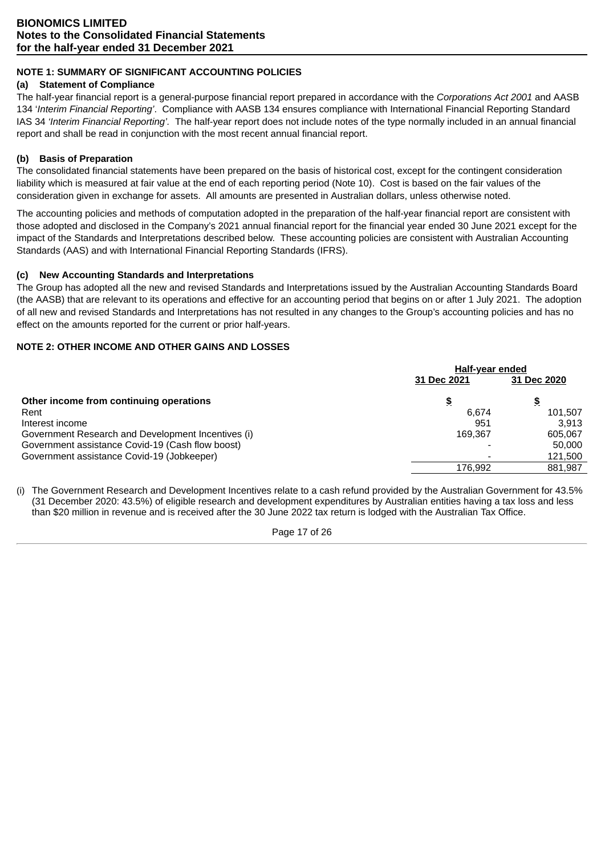# <span id="page-20-0"></span>**NOTE 1: SUMMARY OF SIGNIFICANT ACCOUNTING POLICIES**

# **(a) Statement of Compliance**

The half-year financial report is a general-purpose financial report prepared in accordance with the *Corporations Act 2001* and AASB 134 '*Interim Financial Reporting'*. Compliance with AASB 134 ensures compliance with International Financial Reporting Standard IAS 34 *'Interim Financial Reporting'.* The half-year report does not include notes of the type normally included in an annual financial report and shall be read in conjunction with the most recent annual financial report.

# **(b) Basis of Preparation**

The consolidated financial statements have been prepared on the basis of historical cost, except for the contingent consideration liability which is measured at fair value at the end of each reporting period (Note 10). Cost is based on the fair values of the consideration given in exchange for assets. All amounts are presented in Australian dollars, unless otherwise noted.

The accounting policies and methods of computation adopted in the preparation of the half-year financial report are consistent with those adopted and disclosed in the Company's 2021 annual financial report for the financial year ended 30 June 2021 except for the impact of the Standards and Interpretations described below. These accounting policies are consistent with Australian Accounting Standards (AAS) and with International Financial Reporting Standards (IFRS).

# **(c) New Accounting Standards and Interpretations**

The Group has adopted all the new and revised Standards and Interpretations issued by the Australian Accounting Standards Board (the AASB) that are relevant to its operations and effective for an accounting period that begins on or after 1 July 2021. The adoption of all new and revised Standards and Interpretations has not resulted in any changes to the Group's accounting policies and has no effect on the amounts reported for the current or prior half-years.

# **NOTE 2: OTHER INCOME AND OTHER GAINS AND LOSSES**

|                                                    | Half-year ended |             |
|----------------------------------------------------|-----------------|-------------|
|                                                    | 31 Dec 2021     | 31 Dec 2020 |
| Other income from continuing operations            | \$              | \$          |
| Rent                                               | 6.674           | 101,507     |
| Interest income                                    | 951             | 3.913       |
| Government Research and Development Incentives (i) | 169.367         | 605.067     |
| Government assistance Covid-19 (Cash flow boost)   |                 | 50,000      |
| Government assistance Covid-19 (Jobkeeper)         |                 | 121,500     |
|                                                    | 176.992         | 881.987     |

(i) The Government Research and Development Incentives relate to a cash refund provided by the Australian Government for 43.5% (31 December 2020: 43.5%) of eligible research and development expenditures by Australian entities having a tax loss and less than \$20 million in revenue and is received after the 30 June 2022 tax return is lodged with the Australian Tax Office.

Page 17 of 26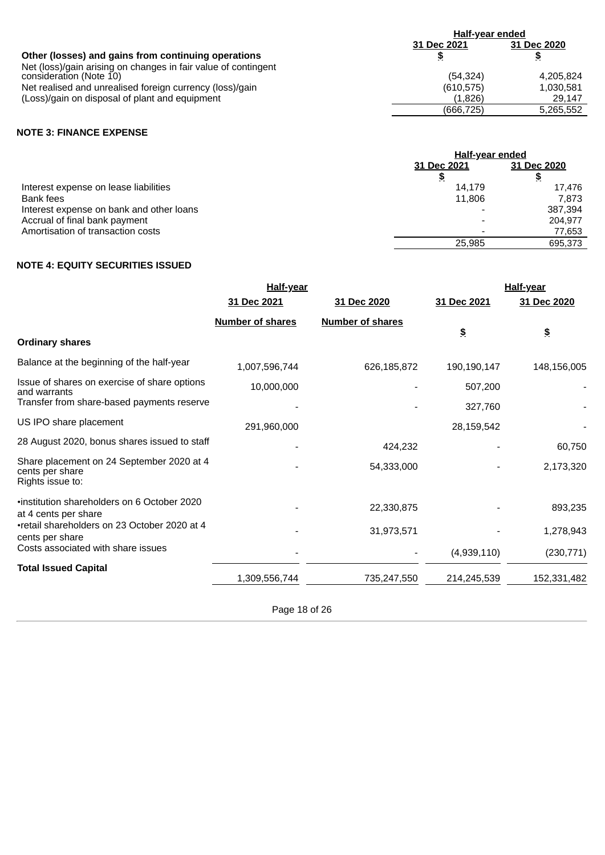|                                                                | Half-year ended |             |  |
|----------------------------------------------------------------|-----------------|-------------|--|
|                                                                | 31 Dec 2021     | 31 Dec 2020 |  |
| Other (losses) and gains from continuing operations            |                 | \$          |  |
| Net (loss)/gain arising on changes in fair value of contingent |                 |             |  |
| consideration (Note 10)                                        | (54.324)        | 4.205.824   |  |
| Net realised and unrealised foreign currency (loss)/gain       | (610, 575)      | 1,030,581   |  |
| (Loss)/gain on disposal of plant and equipment                 | (1,826)         | 29.147      |  |
|                                                                | (666, 725)      | 5,265,552   |  |

# **NOTE 3: FINANCE EXPENSE**

|                                          | <b>Half-year ended</b> |             |  |
|------------------------------------------|------------------------|-------------|--|
|                                          | 31 Dec 2021            | 31 Dec 2020 |  |
|                                          |                        | \$          |  |
| Interest expense on lease liabilities    | 14.179                 | 17,476      |  |
| <b>Bank fees</b>                         | 11,806                 | 7.873       |  |
| Interest expense on bank and other loans |                        | 387.394     |  |
| Accrual of final bank payment            |                        | 204.977     |  |
| Amortisation of transaction costs        |                        | 77.653      |  |
|                                          | 25.985                 | 695.373     |  |
|                                          |                        |             |  |

# **NOTE 4: EQUITY SECURITIES ISSUED**

|                                                                                  | <b>Half-year</b>        |                         |             | Half-year            |
|----------------------------------------------------------------------------------|-------------------------|-------------------------|-------------|----------------------|
|                                                                                  | 31 Dec 2021             | 31 Dec 2020             | 31 Dec 2021 | 31 Dec 2020          |
|                                                                                  | <b>Number of shares</b> | <b>Number of shares</b> | \$          | $\pmb{\mathfrak{S}}$ |
| <b>Ordinary shares</b>                                                           |                         |                         |             |                      |
| Balance at the beginning of the half-year                                        | 1,007,596,744           | 626,185,872             | 190,190,147 | 148,156,005          |
| Issue of shares on exercise of share options<br>and warrants                     | 10,000,000              |                         | 507,200     |                      |
| Transfer from share-based payments reserve                                       |                         |                         | 327,760     |                      |
| US IPO share placement                                                           | 291,960,000             |                         | 28,159,542  |                      |
| 28 August 2020, bonus shares issued to staff                                     |                         | 424.232                 |             | 60,750               |
| Share placement on 24 September 2020 at 4<br>cents per share<br>Rights issue to: |                         | 54,333,000              |             | 2,173,320            |
| .institution shareholders on 6 October 2020<br>at 4 cents per share              |                         | 22,330,875              |             | 893,235              |
| •retail shareholders on 23 October 2020 at 4<br>cents per share                  |                         | 31,973,571              |             | 1,278,943            |
| Costs associated with share issues                                               |                         |                         | (4,939,110) | (230, 771)           |
| <b>Total Issued Capital</b>                                                      | 1,309,556,744           | 735,247,550             | 214,245,539 | 152,331,482          |

Page 18 of 26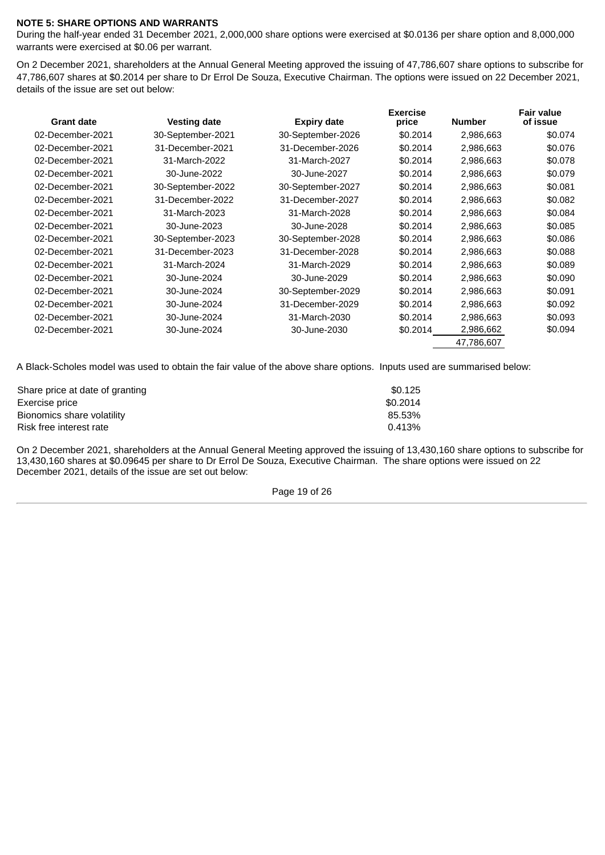# **NOTE 5: SHARE OPTIONS AND WARRANTS**

During the half-year ended 31 December 2021, 2,000,000 share options were exercised at \$0.0136 per share option and 8,000,000 warrants were exercised at \$0.06 per warrant.

On 2 December 2021, shareholders at the Annual General Meeting approved the issuing of 47,786,607 share options to subscribe for 47,786,607 shares at \$0.2014 per share to Dr Errol De Souza, Executive Chairman. The options were issued on 22 December 2021, details of the issue are set out below:

| <b>Grant date</b> | <b>Vesting date</b> | <b>Expiry date</b> | <b>Exercise</b><br>price | <b>Number</b> | <b>Fair value</b><br>of issue |
|-------------------|---------------------|--------------------|--------------------------|---------------|-------------------------------|
| 02-December-2021  | 30-September-2021   | 30-September-2026  | \$0.2014                 | 2,986,663     | \$0.074                       |
| 02-December-2021  | 31-December-2021    | 31-December-2026   | \$0.2014                 | 2,986,663     | \$0.076                       |
| 02-December-2021  | 31-March-2022       | 31-March-2027      | \$0.2014                 | 2,986,663     | \$0.078                       |
| 02-December-2021  | 30-June-2022        | 30-June-2027       | \$0.2014                 | 2,986,663     | \$0.079                       |
| 02-December-2021  | 30-September-2022   | 30-September-2027  | \$0.2014                 | 2,986,663     | \$0.081                       |
| 02-December-2021  | 31-December-2022    | 31-December-2027   | \$0.2014                 | 2,986,663     | \$0.082                       |
| 02-December-2021  | 31-March-2023       | 31-March-2028      | \$0.2014                 | 2,986,663     | \$0.084                       |
| 02-December-2021  | 30-June-2023        | 30-June-2028       | \$0.2014                 | 2,986,663     | \$0.085                       |
| 02-December-2021  | 30-September-2023   | 30-September-2028  | \$0.2014                 | 2,986,663     | \$0.086                       |
| 02-December-2021  | 31-December-2023    | 31-December-2028   | \$0.2014                 | 2,986,663     | \$0.088                       |
| 02-December-2021  | 31-March-2024       | 31-March-2029      | \$0.2014                 | 2,986,663     | \$0.089                       |
| 02-December-2021  | 30-June-2024        | 30-June-2029       | \$0.2014                 | 2,986,663     | \$0.090                       |
| 02-December-2021  | 30-June-2024        | 30-September-2029  | \$0.2014                 | 2,986,663     | \$0.091                       |
| 02-December-2021  | 30-June-2024        | 31-December-2029   | \$0.2014                 | 2,986,663     | \$0.092                       |
| 02-December-2021  | 30-June-2024        | 31-March-2030      | \$0.2014                 | 2,986,663     | \$0.093                       |
| 02-December-2021  | 30-June-2024        | 30-June-2030       | \$0.2014                 | 2,986,662     | \$0.094                       |
|                   |                     |                    |                          | 47,786,607    |                               |

A Black-Scholes model was used to obtain the fair value of the above share options. Inputs used are summarised below:

| Share price at date of granting | \$0.125  |
|---------------------------------|----------|
| Exercise price                  | \$0.2014 |
| Bionomics share volatility      | 85.53%   |
| Risk free interest rate         | 0.413%   |
|                                 |          |

On 2 December 2021, shareholders at the Annual General Meeting approved the issuing of 13,430,160 share options to subscribe for 13,430,160 shares at \$0.09645 per share to Dr Errol De Souza, Executive Chairman. The share options were issued on 22 December 2021, details of the issue are set out below:

Page 19 of 26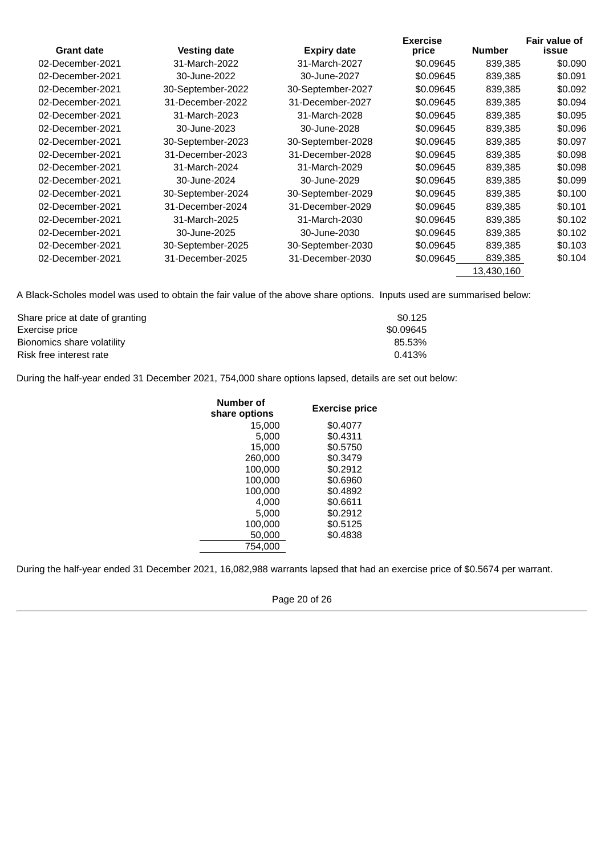| <b>Grant date</b> | <b>Vesting date</b> |                    | <b>Exercise</b><br>price | <b>Number</b> | <b>Fair value of</b><br><b>issue</b> |
|-------------------|---------------------|--------------------|--------------------------|---------------|--------------------------------------|
|                   |                     | <b>Expiry date</b> |                          |               |                                      |
| 02-December-2021  | 31-March-2022       | 31-March-2027      | \$0.09645                | 839,385       | \$0.090                              |
| 02-December-2021  | 30-June-2022        | 30-June-2027       | \$0.09645                | 839.385       | \$0.091                              |
| 02-December-2021  | 30-September-2022   | 30-September-2027  | \$0.09645                | 839,385       | \$0.092                              |
| 02-December-2021  | 31-December-2022    | 31-December-2027   | \$0.09645                | 839,385       | \$0.094                              |
| 02-December-2021  | 31-March-2023       | 31-March-2028      | \$0.09645                | 839,385       | \$0.095                              |
| 02-December-2021  | 30-June-2023        | 30-June-2028       | \$0.09645                | 839,385       | \$0.096                              |
| 02-December-2021  | 30-September-2023   | 30-September-2028  | \$0.09645                | 839.385       | \$0.097                              |
| 02-December-2021  | 31-December-2023    | 31-December-2028   | \$0.09645                | 839.385       | \$0.098                              |
| 02-December-2021  | 31-March-2024       | 31-March-2029      | \$0.09645                | 839.385       | \$0.098                              |
| 02-December-2021  | 30-June-2024        | 30-June-2029       | \$0.09645                | 839.385       | \$0.099                              |
| 02-December-2021  | 30-September-2024   | 30-September-2029  | \$0.09645                | 839,385       | \$0.100                              |
| 02-December-2021  | 31-December-2024    | 31-December-2029   | \$0.09645                | 839,385       | \$0.101                              |
| 02-December-2021  | 31-March-2025       | 31-March-2030      | \$0.09645                | 839,385       | \$0.102                              |
| 02-December-2021  | 30-June-2025        | 30-June-2030       | \$0.09645                | 839,385       | \$0.102                              |
| 02-December-2021  | 30-September-2025   | 30-September-2030  | \$0.09645                | 839,385       | \$0.103                              |
| 02-December-2021  | 31-December-2025    | 31-December-2030   | \$0.09645                | 839,385       | \$0.104                              |
|                   |                     |                    |                          | 13,430,160    |                                      |

A Black-Scholes model was used to obtain the fair value of the above share options. Inputs used are summarised below:

| Share price at date of granting | \$0.125   |
|---------------------------------|-----------|
| Exercise price                  | \$0.09645 |
| Bionomics share volatility      | 85.53%    |
| Risk free interest rate         | 0.413%    |

During the half-year ended 31 December 2021, 754,000 share options lapsed, details are set out below:

| Number of<br>share options | <b>Exercise price</b> |
|----------------------------|-----------------------|
| 15.000                     | \$0.4077              |
| 5.000                      | \$0.4311              |
| 15,000                     | \$0.5750              |
| 260,000                    | \$0.3479              |
| 100.000                    | \$0.2912              |
| 100,000                    | \$0.6960              |
| 100.000                    | \$0.4892              |
| 4.000                      | \$0.6611              |
| 5.000                      | \$0.2912              |
| 100.000                    | \$0.5125              |
| 50,000                     | \$0.4838              |
| 754,000                    |                       |

During the half-year ended 31 December 2021, 16,082,988 warrants lapsed that had an exercise price of \$0.5674 per warrant.

Page 20 of 26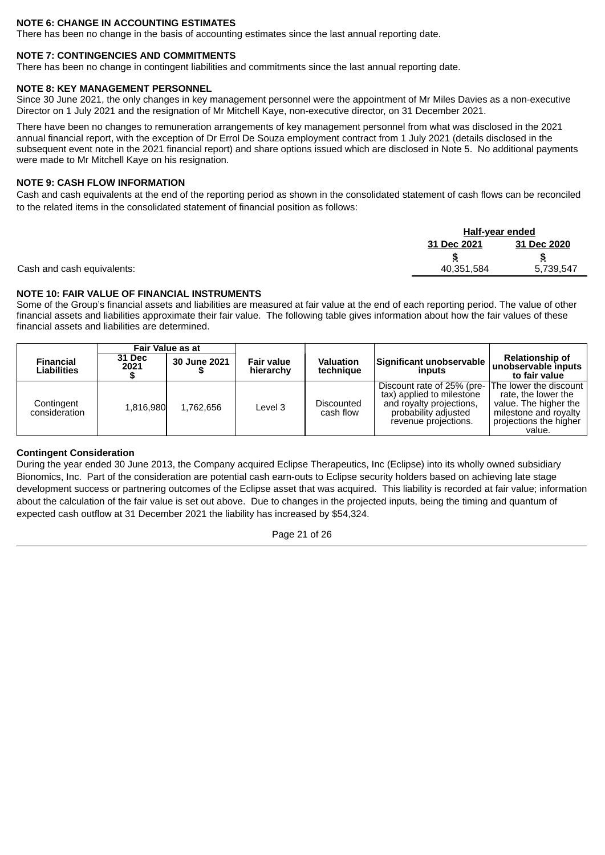# **NOTE 6: CHANGE IN ACCOUNTING ESTIMATES**

There has been no change in the basis of accounting estimates since the last annual reporting date.

#### **NOTE 7: CONTINGENCIES AND COMMITMENTS**

There has been no change in contingent liabilities and commitments since the last annual reporting date.

#### **NOTE 8: KEY MANAGEMENT PERSONNEL**

Since 30 June 2021, the only changes in key management personnel were the appointment of Mr Miles Davies as a non-executive Director on 1 July 2021 and the resignation of Mr Mitchell Kaye, non-executive director, on 31 December 2021.

There have been no changes to remuneration arrangements of key management personnel from what was disclosed in the 2021 annual financial report, with the exception of Dr Errol De Souza employment contract from 1 July 2021 (details disclosed in the subsequent event note in the 2021 financial report) and share options issued which are disclosed in Note 5. No additional payments were made to Mr Mitchell Kaye on his resignation.

# **NOTE 9: CASH FLOW INFORMATION**

Cash and cash equivalents at the end of the reporting period as shown in the consolidated statement of cash flows can be reconciled to the related items in the consolidated statement of financial position as follows:

|                            |             | <u>Half-year ended</u> |  |  |
|----------------------------|-------------|------------------------|--|--|
|                            | 31 Dec 2021 | 31 Dec 2020            |  |  |
|                            |             | ъ                      |  |  |
| Cash and cash equivalents: | 40.351.584  | 5,739,547              |  |  |
|                            |             |                        |  |  |

# **NOTE 10: FAIR VALUE OF FINANCIAL INSTRUMENTS**

Some of the Group's financial assets and liabilities are measured at fair value at the end of each reporting period. The value of other financial assets and liabilities approximate their fair value. The following table gives information about how the fair values of these financial assets and liabilities are determined.

|                                        |                       | <b>Fair Value as at</b> |                                |                               |                                                                                                                                     |                                                                                                                                     |
|----------------------------------------|-----------------------|-------------------------|--------------------------------|-------------------------------|-------------------------------------------------------------------------------------------------------------------------------------|-------------------------------------------------------------------------------------------------------------------------------------|
| <b>Financial</b><br><b>Liabilities</b> | <b>31 Dec</b><br>2021 | 30 June 2021            | <b>Fair value</b><br>hierarchy | <b>Valuation</b><br>technique | Significant unobservable<br>inputs                                                                                                  | <b>Relationship of</b><br>unobservable inputs<br>to fair value                                                                      |
| Contingent<br>consideration            | 1.816.980             | 1.762.656               | Level 3                        | Discounted<br>cash flow       | Discount rate of 25% (pre-<br>tax) applied to milestone<br>and royalty projections,<br>probability adjusted<br>revenue projections. | The lower the discount<br>rate, the lower the<br>value. The higher the<br>milestone and royalty<br>projections the higher<br>value. |

#### **Contingent Consideration**

During the year ended 30 June 2013, the Company acquired Eclipse Therapeutics, Inc (Eclipse) into its wholly owned subsidiary Bionomics, Inc. Part of the consideration are potential cash earn-outs to Eclipse security holders based on achieving late stage development success or partnering outcomes of the Eclipse asset that was acquired. This liability is recorded at fair value; information about the calculation of the fair value is set out above. Due to changes in the projected inputs, being the timing and quantum of expected cash outflow at 31 December 2021 the liability has increased by \$54,324.

Page 21 of 26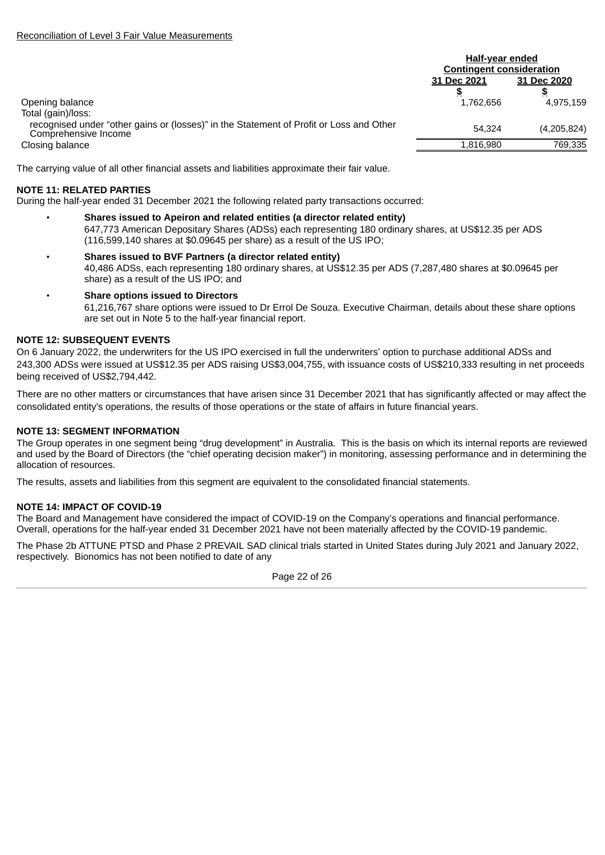|                                                                                                                 | <b>Half-year ended</b>          |             |  |
|-----------------------------------------------------------------------------------------------------------------|---------------------------------|-------------|--|
|                                                                                                                 | <b>Contingent consideration</b> |             |  |
|                                                                                                                 | 31 Dec 2021                     | 31 Dec 2020 |  |
|                                                                                                                 |                                 |             |  |
| Opening balance                                                                                                 | 1.762.656                       | 4.975.159   |  |
| Total (gain)/loss:                                                                                              |                                 |             |  |
| recognised under "other gains or (losses)" in the Statement of Profit or Loss and Other<br>Comprehensive Income | 54.324                          | (4,205,824) |  |
| Closing balance                                                                                                 | 1.816.980                       | 769,335     |  |

The carrying value of all other financial assets and liabilities approximate their fair value.

# **NOTE 11: RELATED PARTIES**

During the half-year ended 31 December 2021 the following related party transactions occurred:

- **Shares issued to Apeiron and related entities (a director related entity)** 647,773 American Depositary Shares (ADSs) each representing 180 ordinary shares, at US\$12.35 per ADS  $(116,599,140$  shares at \$0.09645 per share) as a result of the US IPO;
- **Shares issued to BVF Partners (a director related entity)** 40,486 ADSs, each representing 180 ordinary shares, at US\$12.35 per ADS (7,287,480 shares at \$0.09645 per share) as a result of the US IPO; and
	- **Share options issued to Directors** 61,216,767 share options were issued to Dr Errol De Souza. Executive Chairman, details about these share options are set out in Note 5 to the half-year financial report.

# **NOTE 12: SUBSEQUENT EVENTS**

On 6 January 2022, the underwriters for the US IPO exercised in full the underwriters' option to purchase additional ADSs and 243,300 ADSs were issued at US\$12.35 per ADS raising US\$3,004,755, with issuance costs of US\$210,333 resulting in net proceeds being received of US\$2,794,442.

There are no other matters or circumstances that have arisen since 31 December 2021 that has significantly affected or may affect the consolidated entity's operations, the results of those operations or the state of affairs in future financial years.

# **NOTE 13: SEGMENT INFORMATION**

The Group operates in one segment being "drug development" in Australia. This is the basis on which its internal reports are reviewed and used by the Board of Directors (the "chief operating decision maker") in monitoring, assessing performance and in determining the allocation of resources.

The results, assets and liabilities from this segment are equivalent to the consolidated financial statements.

# **NOTE 14: IMPACT OF COVID-19**

The Board and Management have considered the impact of COVID-19 on the Company's operations and financial performance. Overall, operations for the half-year ended 31 December 2021 have not been materially affected by the COVID-19 pandemic.

The Phase 2b ATTUNE PTSD and Phase 2 PREVAIL SAD clinical trials started in United States during July 2021 and January 2022, respectively. Bionomics has not been notified to date of any

Page 22 of 26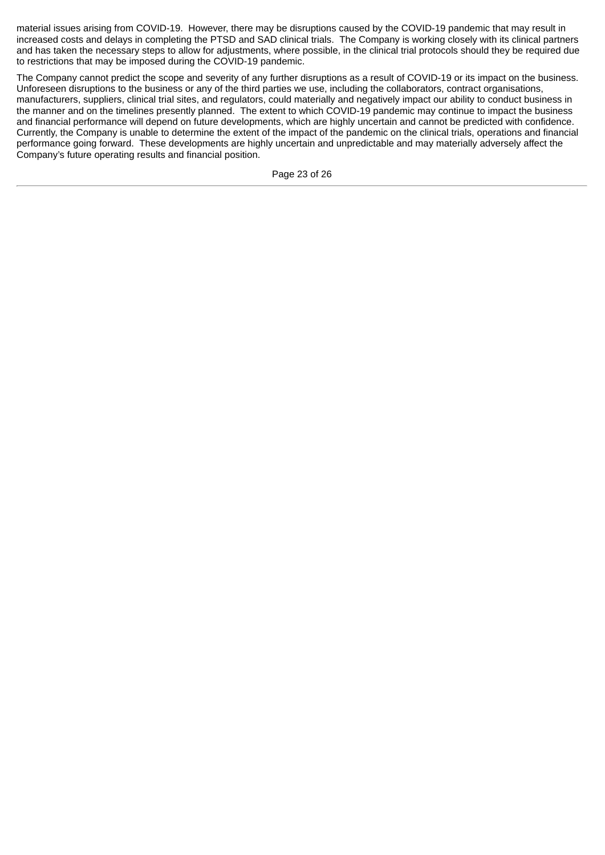material issues arising from COVID-19. However, there may be disruptions caused by the COVID-19 pandemic that may result in increased costs and delays in completing the PTSD and SAD clinical trials. The Company is working closely with its clinical partners and has taken the necessary steps to allow for adjustments, where possible, in the clinical trial protocols should they be required due to restrictions that may be imposed during the COVID-19 pandemic.

The Company cannot predict the scope and severity of any further disruptions as a result of COVID-19 or its impact on the business. Unforeseen disruptions to the business or any of the third parties we use, including the collaborators, contract organisations, manufacturers, suppliers, clinical trial sites, and regulators, could materially and negatively impact our ability to conduct business in the manner and on the timelines presently planned. The extent to which COVID-19 pandemic may continue to impact the business and financial performance will depend on future developments, which are highly uncertain and cannot be predicted with confidence. Currently, the Company is unable to determine the extent of the impact of the pandemic on the clinical trials, operations and financial performance going forward. These developments are highly uncertain and unpredictable and may materially adversely affect the Company's future operating results and financial position.

Page 23 of 26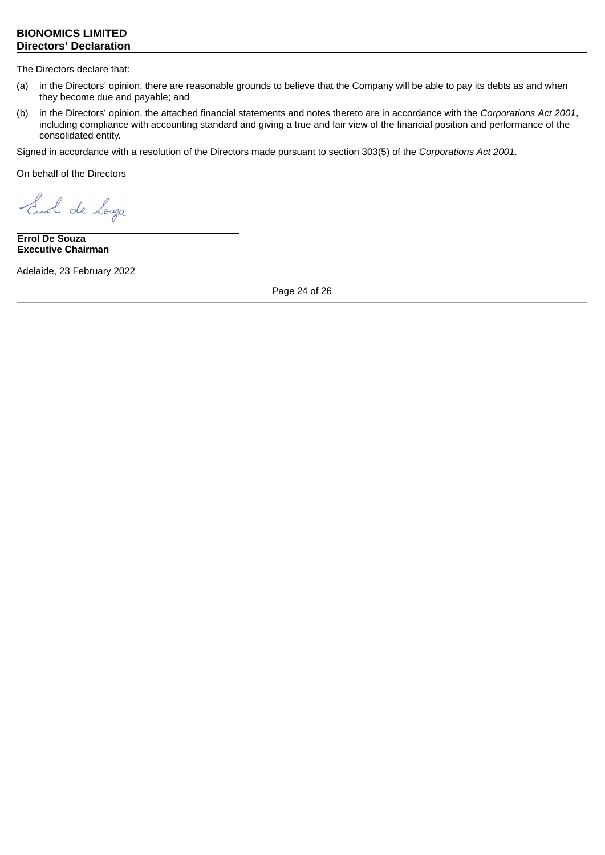# <span id="page-27-0"></span>**BIONOMICS LIMITED Directors' Declaration**

The Directors declare that:

- (a) in the Directors' opinion, there are reasonable grounds to believe that the Company will be able to pay its debts as and when they become due and payable; and
- (b) in the Directors' opinion, the attached financial statements and notes thereto are in accordance with the *Corporations Act 2001*, including compliance with accounting standard and giving a true and fair view of the financial position and performance of the consolidated entity.

Signed in accordance with a resolution of the Directors made pursuant to section 303(5) of the *Corporations Act 2001*.

On behalf of the Directors

End de Souza

**Errol De Souza Executive Chairman**

Adelaide, 23 February 2022

Page 24 of 26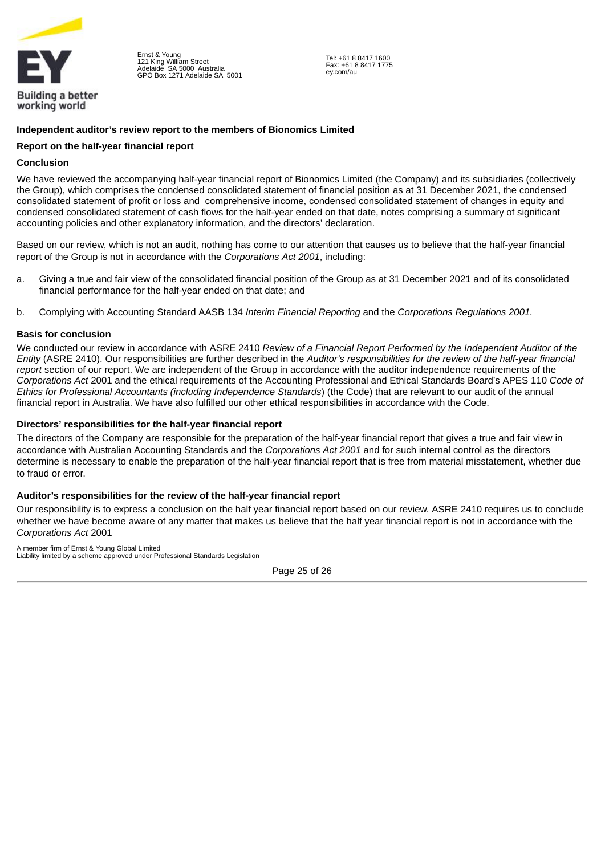

Ernst & Young 121 King William Street Adelaide SA 5000 Australia GPO Box 1271 Adelaide SA 5001

Tel: +61 8 8417 1600 Fax: +61 8 8417 1775 ey.com/au

# <span id="page-28-0"></span>**Independent auditor's review report to the members of Bionomics Limited**

## **Report on the half‑year financial report**

## **Conclusion**

We have reviewed the accompanying half-year financial report of Bionomics Limited (the Company) and its subsidiaries (collectively the Group), which comprises the condensed consolidated statement of financial position as at 31 December 2021, the condensed consolidated statement of profit or loss and comprehensive income, condensed consolidated statement of changes in equity and condensed consolidated statement of cash flows for the half-year ended on that date, notes comprising a summary of significant accounting policies and other explanatory information, and the directors' declaration.

Based on our review, which is not an audit, nothing has come to our attention that causes us to believe that the half-vear financial report of the Group is not in accordance with the *Corporations Act 2001*, including:

- a. Giving a true and fair view of the consolidated financial position of the Group as at 31 December 2021 and of its consolidated financial performance for the half-year ended on that date; and
- b. Complying with Accounting Standard AASB 134 *Interim Financial Reporting* and the *Corporations Regulations 2001.*

#### **Basis for conclusion**

We conducted our review in accordance with ASRE 2410 *Review of a Financial Report Performed by the Independent Auditor of the Entity* (ASRE 2410). Our responsibilities are further described in the *Auditor's responsibilities for the review of the half-year financial report* section of our report. We are independent of the Group in accordance with the auditor independence requirements of the *Corporations Act* 2001 and the ethical requirements of the Accounting Professional and Ethical Standards Board's APES 110 *Code of Ethics for Professional Accountants (including Independence Standards*) (the Code) that are relevant to our audit of the annual financial report in Australia. We have also fulfilled our other ethical responsibilities in accordance with the Code.

# **Directors' responsibilities for the half‑year financial report**

The directors of the Company are responsible for the preparation of the half-year financial report that gives a true and fair view in accordance with Australian Accounting Standards and the *Corporations Act 2001* and for such internal control as the directors determine is necessary to enable the preparation of the half-year financial report that is free from material misstatement, whether due to fraud or error.

# **Auditor's responsibilities for the review of the half-year financial report**

Our responsibility is to express a conclusion on the half year financial report based on our review. ASRE 2410 requires us to conclude whether we have become aware of any matter that makes us believe that the half year financial report is not in accordance with the *Corporations Act* 2001

A member firm of Ernst & Young Global Limited Liability limited by a scheme approved under Professional Standards Legislation

Page 25 of 26